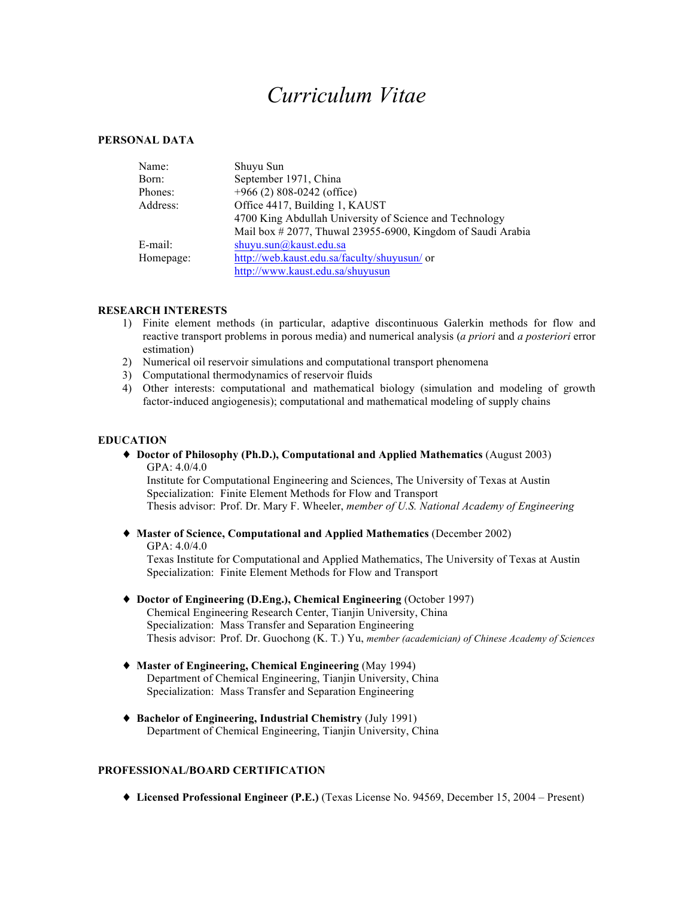# *Curriculum Vitae*

#### **PERSONAL DATA**

| Name:     | Shuyu Sun                                                  |
|-----------|------------------------------------------------------------|
| Born:     | September 1971, China                                      |
| Phones:   | $+966$ (2) 808-0242 (office)                               |
| Address:  | Office 4417, Building 1, KAUST                             |
|           | 4700 King Abdullah University of Science and Technology    |
|           | Mail box #2077, Thuwal 23955-6900, Kingdom of Saudi Arabia |
| E-mail:   | shuyu.sun@kaust.edu.sa                                     |
| Homepage: | http://web.kaust.edu.sa/faculty/shuyusun/ or               |
|           | http://www.kaust.edu.sa/shuyusun                           |

#### **RESEARCH INTERESTS**

- 1) Finite element methods (in particular, adaptive discontinuous Galerkin methods for flow and reactive transport problems in porous media) and numerical analysis (*a priori* and *a posteriori* error estimation)
- 2) Numerical oil reservoir simulations and computational transport phenomena
- 3) Computational thermodynamics of reservoir fluids
- 4) Other interests: computational and mathematical biology (simulation and modeling of growth factor-induced angiogenesis); computational and mathematical modeling of supply chains

#### **EDUCATION**

♦ **Doctor of Philosophy (Ph.D.), Computational and Applied Mathematics** (August 2003) GPA: 4.0/4.0

Institute for Computational Engineering and Sciences, The University of Texas at Austin Specialization: Finite Element Methods for Flow and Transport Thesis advisor: Prof. Dr. Mary F. Wheeler, *member of U.S. National Academy of Engineering*

## ♦ **Master of Science, Computational and Applied Mathematics** (December 2002)

GPA: 4.0/4.0 Texas Institute for Computational and Applied Mathematics, The University of Texas at Austin Specialization: Finite Element Methods for Flow and Transport

- ♦ **Doctor of Engineering (D.Eng.), Chemical Engineering** (October 1997) Chemical Engineering Research Center, Tianjin University, China Specialization: Mass Transfer and Separation Engineering Thesis advisor: Prof. Dr. Guochong (K. T.) Yu, *member (academician) of Chinese Academy of Sciences*
- ♦ **Master of Engineering, Chemical Engineering** (May 1994) Department of Chemical Engineering, Tianjin University, China Specialization: Mass Transfer and Separation Engineering
- ♦ **Bachelor of Engineering, Industrial Chemistry** (July 1991) Department of Chemical Engineering, Tianjin University, China

## **PROFESSIONAL/BOARD CERTIFICATION**

♦ **Licensed Professional Engineer (P.E.)** (Texas License No. 94569, December 15, 2004 – Present)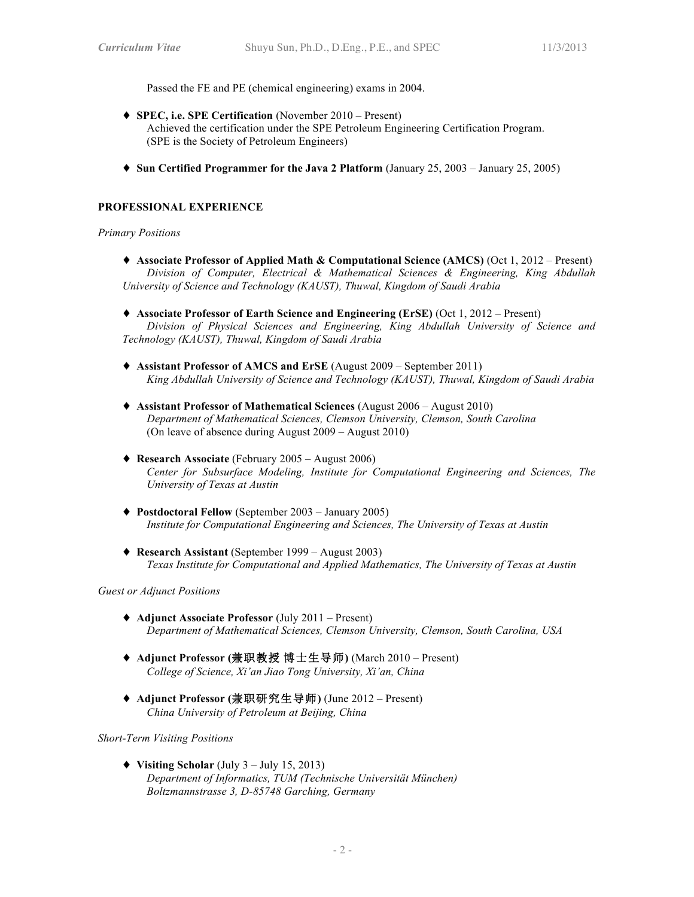Passed the FE and PE (chemical engineering) exams in 2004.

- ♦ **SPEC, i.e. SPE Certification** (November 2010 Present) Achieved the certification under the SPE Petroleum Engineering Certification Program. (SPE is the Society of Petroleum Engineers)
- ♦ **Sun Certified Programmer for the Java 2 Platform** (January 25, 2003 January 25, 2005)

## **PROFESSIONAL EXPERIENCE**

#### *Primary Positions*

- ♦ **Associate Professor of Applied Math & Computational Science (AMCS)** (Oct 1, 2012 Present) *Division of Computer, Electrical & Mathematical Sciences & Engineering, King Abdullah University of Science and Technology (KAUST), Thuwal, Kingdom of Saudi Arabia*
- ♦ **Associate Professor of Earth Science and Engineering (ErSE)** (Oct 1, 2012 Present) *Division of Physical Sciences and Engineering, King Abdullah University of Science and Technology (KAUST), Thuwal, Kingdom of Saudi Arabia*
- ♦ **Assistant Professor of AMCS and ErSE** (August 2009 September 2011) *King Abdullah University of Science and Technology (KAUST), Thuwal, Kingdom of Saudi Arabia*
- ♦ **Assistant Professor of Mathematical Sciences** (August 2006 August 2010) *Department of Mathematical Sciences, Clemson University, Clemson, South Carolina* (On leave of absence during August 2009 – August 2010)
- ♦ **Research Associate** (February 2005 August 2006) *Center for Subsurface Modeling, Institute for Computational Engineering and Sciences, The University of Texas at Austin*
- ♦ **Postdoctoral Fellow** (September 2003 January 2005) *Institute for Computational Engineering and Sciences, The University of Texas at Austin*
- ♦ **Research Assistant** (September 1999 August 2003) *Texas Institute for Computational and Applied Mathematics, The University of Texas at Austin*

## *Guest or Adjunct Positions*

- ♦ **Adjunct Associate Professor** (July 2011 Present) *Department of Mathematical Sciences, Clemson University, Clemson, South Carolina, USA*
- ♦ **Adjunct Professor (**兼职教授 博士生导师**)** (March 2010 Present) *College of Science, Xi'an Jiao Tong University, Xi'an, China*
- ♦ **Adjunct Professor (**兼职研究生导师**)** (June 2012 Present) *China University of Petroleum at Beijing, China*

*Short-Term Visiting Positions*

♦ **Visiting Scholar** (July 3 – July 15, 2013) *Department of Informatics, TUM (Technische Universität München) Boltzmannstrasse 3, D-85748 Garching, Germany*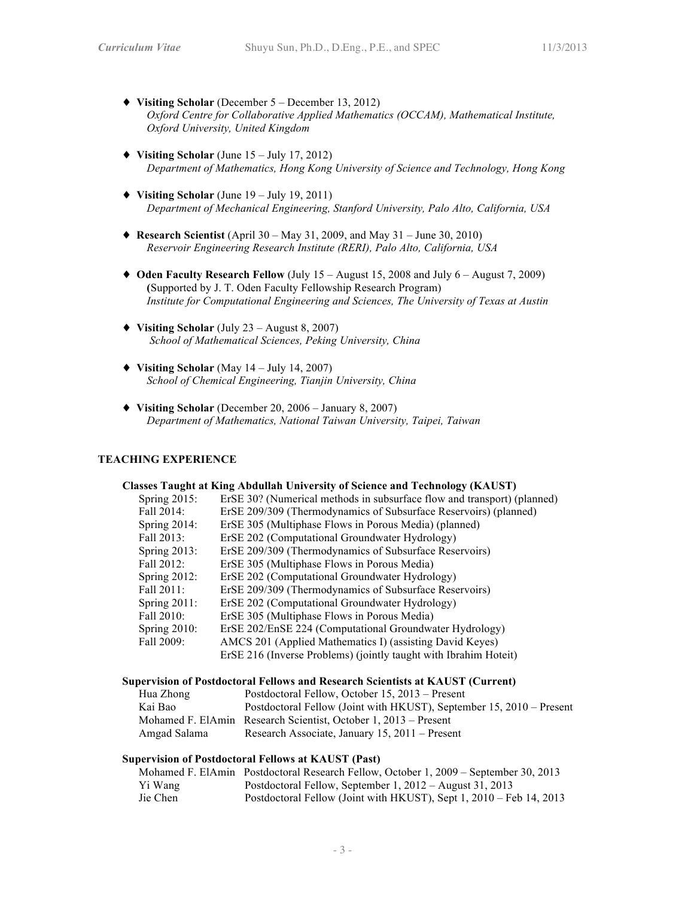- ♦ **Visiting Scholar** (December 5 December 13, 2012) *Oxford Centre for Collaborative Applied Mathematics (OCCAM), Mathematical Institute, Oxford University, United Kingdom*
- ♦ **Visiting Scholar** (June 15 July 17, 2012) *Department of Mathematics, Hong Kong University of Science and Technology, Hong Kong*
- ♦ **Visiting Scholar** (June 19 July 19, 2011) *Department of Mechanical Engineering, Stanford University, Palo Alto, California, USA*
- ♦ **Research Scientist** (April 30 May 31, 2009, and May 31 June 30, 2010) *Reservoir Engineering Research Institute (RERI), Palo Alto, California, USA*
- ♦ **Oden Faculty Research Fellow** (July 15 August 15, 2008 and July 6 August 7, 2009) **(**Supported by J. T. Oden Faculty Fellowship Research Program) *Institute for Computational Engineering and Sciences, The University of Texas at Austin*
- ♦ **Visiting Scholar** (July 23 August 8, 2007) *School of Mathematical Sciences, Peking University, China*
- ♦ **Visiting Scholar** (May 14 July 14, 2007) *School of Chemical Engineering, Tianjin University, China*
- ♦ **Visiting Scholar** (December 20, 2006 January 8, 2007) *Department of Mathematics, National Taiwan University, Taipei, Taiwan*

### **TEACHING EXPERIENCE**

## **Classes Taught at King Abdullah University of Science and Technology (KAUST)**

| Spring $2015$ : | ErSE 30? (Numerical methods in subsurface flow and transport) (planned) |
|-----------------|-------------------------------------------------------------------------|
| Fall 2014:      | ErSE 209/309 (Thermodynamics of Subsurface Reservoirs) (planned)        |
| Spring $2014$ : | ErSE 305 (Multiphase Flows in Porous Media) (planned)                   |
| Fall 2013:      | ErSE 202 (Computational Groundwater Hydrology)                          |
| Spring $2013$ : | ErSE 209/309 (Thermodynamics of Subsurface Reservoirs)                  |
| Fall 2012:      | ErSE 305 (Multiphase Flows in Porous Media)                             |
| Spring $2012$ : | ErSE 202 (Computational Groundwater Hydrology)                          |
| Fall 2011:      | ErSE 209/309 (Thermodynamics of Subsurface Reservoirs)                  |
| Spring $2011$ : | ErSE 202 (Computational Groundwater Hydrology)                          |
| Fall 2010:      | ErSE 305 (Multiphase Flows in Porous Media)                             |
| Spring $2010$ : | ErSE 202/EnSE 224 (Computational Groundwater Hydrology)                 |
| Fall 2009:      | AMCS 201 (Applied Mathematics I) (assisting David Keyes)                |
|                 | ErSE 216 (Inverse Problems) (jointly taught with Ibrahim Hoteit)        |

#### **Supervision of Postdoctoral Fellows and Research Scientists at KAUST (Current)**

| Hua Zhong    | Postdoctoral Fellow, October 15, 2013 – Present                      |
|--------------|----------------------------------------------------------------------|
| Kai Bao      | Postdoctoral Fellow (Joint with HKUST), September 15, 2010 – Present |
|              | Mohamed F. ElAmin Research Scientist, October 1, 2013 – Present      |
| Amgad Salama | Research Associate, January 15, 2011 – Present                       |

## **Supervision of Postdoctoral Fellows at KAUST (Past)**

|          | Mohamed F. ElAmin Postdoctoral Research Fellow, October 1, 2009 – September 30, 2013 |
|----------|--------------------------------------------------------------------------------------|
| Yi Wang  | Postdoctoral Fellow, September 1, 2012 – August 31, 2013                             |
| Jie Chen | Postdoctoral Fellow (Joint with HKUST), Sept 1, 2010 – Feb 14, 2013                  |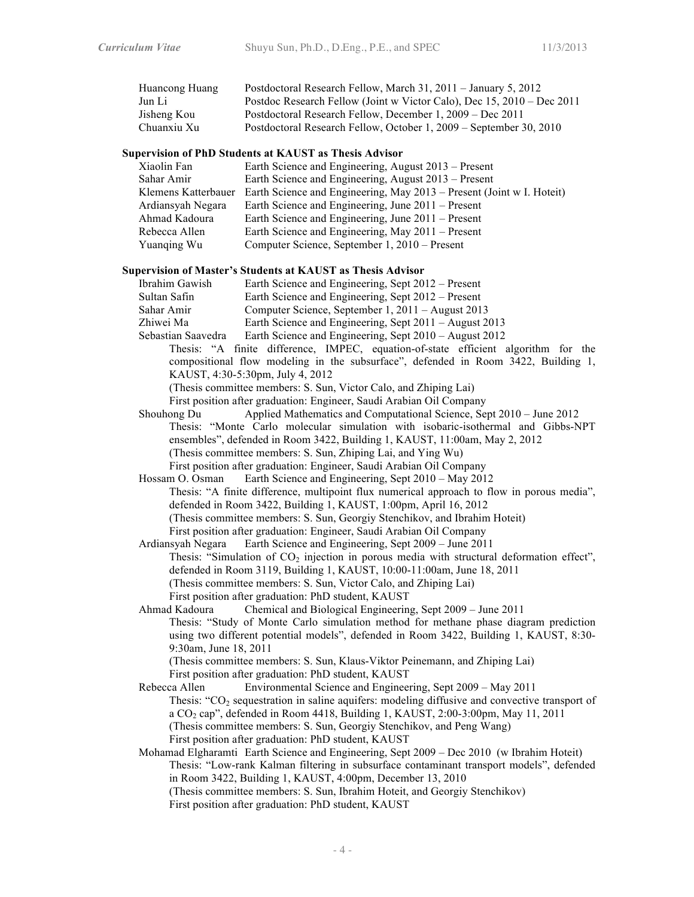| Huancong Huang | Postdoctoral Research Fellow, March 31, 2011 – January 5, 2012         |
|----------------|------------------------------------------------------------------------|
| Jun Li         | Postdoc Research Fellow (Joint w Victor Calo), Dec 15, 2010 – Dec 2011 |
| Jisheng Kou    | Postdoctoral Research Fellow, December 1, 2009 – Dec 2011              |
| Chuanxiu Xu    | Postdoctoral Research Fellow, October 1, 2009 – September 30, 2010     |

#### **Supervision of PhD Students at KAUST as Thesis Advisor**

| Xiaolin Fan         | Earth Science and Engineering, August 2013 – Present                  |
|---------------------|-----------------------------------------------------------------------|
| Sahar Amir          | Earth Science and Engineering, August 2013 – Present                  |
| Klemens Katterbauer | Earth Science and Engineering, May 2013 – Present (Joint w I. Hoteit) |
| Ardiansyah Negara   | Earth Science and Engineering, June 2011 – Present                    |
| Ahmad Kadoura       | Earth Science and Engineering, June 2011 – Present                    |
| Rebecca Allen       | Earth Science and Engineering, May 2011 – Present                     |
| Yuanging Wu         | Computer Science, September 1, 2010 – Present                         |

#### **Supervision of Master's Students at KAUST as Thesis Advisor**

| Ibrahim Gawish | Earth Science and Engineering, Sept 2012 – Present |
|----------------|----------------------------------------------------|
| Sultan Safin   | Earth Science and Engineering, Sept 2012 – Present |
| Sahar Amir     | Computer Science, September 1, 2011 – August 2013  |

- Zhiwei Ma Earth Science and Engineering, Sept 2011 August 2013
- Sebastian Saavedra Earth Science and Engineering, Sept 2010 August 2012
	- Thesis: "A finite difference, IMPEC, equation-of-state efficient algorithm for the compositional flow modeling in the subsurface", defended in Room 3422, Building 1, KAUST, 4:30-5:30pm, July 4, 2012

(Thesis committee members: S. Sun, Victor Calo, and Zhiping Lai)

First position after graduation: Engineer, Saudi Arabian Oil Company

Shouhong Du Applied Mathematics and Computational Science, Sept 2010 – June 2012 Thesis: "Monte Carlo molecular simulation with isobaric-isothermal and Gibbs-NPT ensembles", defended in Room 3422, Building 1, KAUST, 11:00am, May 2, 2012 (Thesis committee members: S. Sun, Zhiping Lai, and Ying Wu) First position after graduation: Engineer, Saudi Arabian Oil Company

Hossam O. Osman Earth Science and Engineering, Sept 2010 – May 2012 Thesis: "A finite difference, multipoint flux numerical approach to flow in porous media", defended in Room 3422, Building 1, KAUST, 1:00pm, April 16, 2012 (Thesis committee members: S. Sun, Georgiy Stenchikov, and Ibrahim Hoteit) First position after graduation: Engineer, Saudi Arabian Oil Company

Ardiansyah Negara Earth Science and Engineering, Sept 2009 – June 2011 Thesis: "Simulation of  $CO<sub>2</sub>$  injection in porous media with structural deformation effect", defended in Room 3119, Building 1, KAUST, 10:00-11:00am, June 18, 2011 (Thesis committee members: S. Sun, Victor Calo, and Zhiping Lai) First position after graduation: PhD student, KAUST

Ahmad Kadoura Chemical and Biological Engineering, Sept 2009 – June 2011 Thesis: "Study of Monte Carlo simulation method for methane phase diagram prediction using two different potential models", defended in Room 3422, Building 1, KAUST, 8:30- 9:30am, June 18, 2011

(Thesis committee members: S. Sun, Klaus-Viktor Peinemann, and Zhiping Lai) First position after graduation: PhD student, KAUST

Rebecca Allen Environmental Science and Engineering, Sept 2009 – May 2011 Thesis: " $CO<sub>2</sub>$  sequestration in saline aquifers: modeling diffusive and convective transport of a CO2 cap", defended in Room 4418, Building 1, KAUST, 2:00-3:00pm, May 11, 2011 (Thesis committee members: S. Sun, Georgiy Stenchikov, and Peng Wang) First position after graduation: PhD student, KAUST

Mohamad Elgharamti Earth Science and Engineering, Sept 2009 – Dec 2010 (w Ibrahim Hoteit) Thesis: "Low-rank Kalman filtering in subsurface contaminant transport models", defended in Room 3422, Building 1, KAUST, 4:00pm, December 13, 2010 (Thesis committee members: S. Sun, Ibrahim Hoteit, and Georgiy Stenchikov) First position after graduation: PhD student, KAUST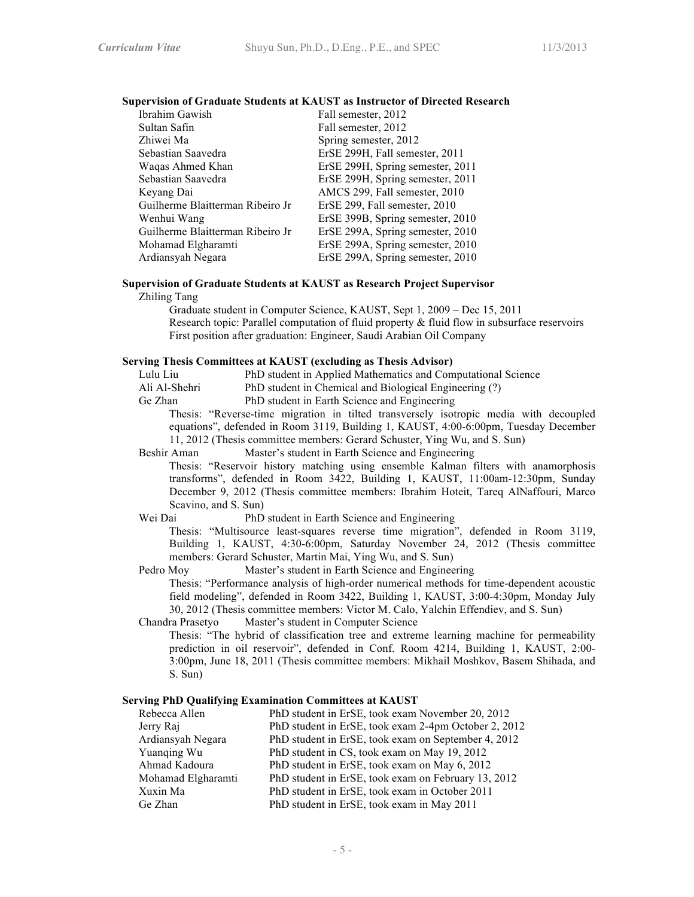#### **Supervision of Graduate Students at KAUST as Instructor of Directed Research**

| Ibrahim Gawish                   | Fall semester, 2012              |
|----------------------------------|----------------------------------|
| Sultan Safin                     | Fall semester, 2012              |
| Zhiwei Ma                        | Spring semester, 2012            |
| Sebastian Saavedra               | ErSE 299H, Fall semester, 2011   |
| Waqas Ahmed Khan                 | ErSE 299H, Spring semester, 2011 |
| Sebastian Saavedra               | ErSE 299H, Spring semester, 2011 |
| Keyang Dai                       | AMCS 299, Fall semester, 2010    |
| Guilherme Blaitterman Ribeiro Jr | ErSE 299, Fall semester, 2010    |
| Wenhui Wang                      | ErSE 399B, Spring semester, 2010 |
| Guilherme Blaitterman Ribeiro Jr | ErSE 299A, Spring semester, 2010 |
| Mohamad Elgharamti               | ErSE 299A, Spring semester, 2010 |
| Ardiansyah Negara                | ErSE 299A, Spring semester, 2010 |

#### **Supervision of Graduate Students at KAUST as Research Project Supervisor**

Zhiling Tang

Graduate student in Computer Science, KAUST, Sept 1, 2009 – Dec 15, 2011 Research topic: Parallel computation of fluid property & fluid flow in subsurface reservoirs First position after graduation: Engineer, Saudi Arabian Oil Company

## **Serving Thesis Committees at KAUST (excluding as Thesis Advisor)**

Lulu Liu PhD student in Applied Mathematics and Computational Science<br>Ali Al-Shehri PhD student in Chemical and Biological Engineering (?)

- PhD student in Chemical and Biological Engineering (?)
- Ge Zhan PhD student in Earth Science and Engineering

Thesis: "Reverse-time migration in tilted transversely isotropic media with decoupled equations", defended in Room 3119, Building 1, KAUST, 4:00-6:00pm, Tuesday December 11, 2012 (Thesis committee members: Gerard Schuster, Ying Wu, and S. Sun)

Beshir Aman Master's student in Earth Science and Engineering

Thesis: "Reservoir history matching using ensemble Kalman filters with anamorphosis transforms", defended in Room 3422, Building 1, KAUST, 11:00am-12:30pm, Sunday December 9, 2012 (Thesis committee members: Ibrahim Hoteit, Tareq AlNaffouri, Marco Scavino, and S. Sun)

Wei Dai PhD student in Earth Science and Engineering

Thesis: "Multisource least-squares reverse time migration", defended in Room 3119, Building 1, KAUST, 4:30-6:00pm, Saturday November 24, 2012 (Thesis committee members: Gerard Schuster, Martin Mai, Ying Wu, and S. Sun)

#### Pedro Moy Master's student in Earth Science and Engineering

Thesis: "Performance analysis of high-order numerical methods for time-dependent acoustic field modeling", defended in Room 3422, Building 1, KAUST, 3:00-4:30pm, Monday July 30, 2012 (Thesis committee members: Victor M. Calo, Yalchin Effendiev, and S. Sun)

Chandra Prasetyo Master's student in Computer Science

Thesis: "The hybrid of classification tree and extreme learning machine for permeability prediction in oil reservoir", defended in Conf. Room 4214, Building 1, KAUST, 2:00- 3:00pm, June 18, 2011 (Thesis committee members: Mikhail Moshkov, Basem Shihada, and S. Sun)

#### **Serving PhD Qualifying Examination Committees at KAUST**

| Rebecca Allen      | PhD student in ErSE, took exam November 20, 2012     |
|--------------------|------------------------------------------------------|
| Jerry Raj          | PhD student in ErSE, took exam 2-4pm October 2, 2012 |
| Ardiansyah Negara  | PhD student in ErSE, took exam on September 4, 2012  |
| Yuanqing Wu        | PhD student in CS, took exam on May 19, 2012         |
| Ahmad Kadoura      | PhD student in ErSE, took exam on May 6, 2012        |
| Mohamad Elgharamti | PhD student in ErSE, took exam on February 13, 2012  |
| Xuxin Ma           | PhD student in ErSE, took exam in October 2011       |
| Ge Zhan            | PhD student in ErSE, took exam in May 2011           |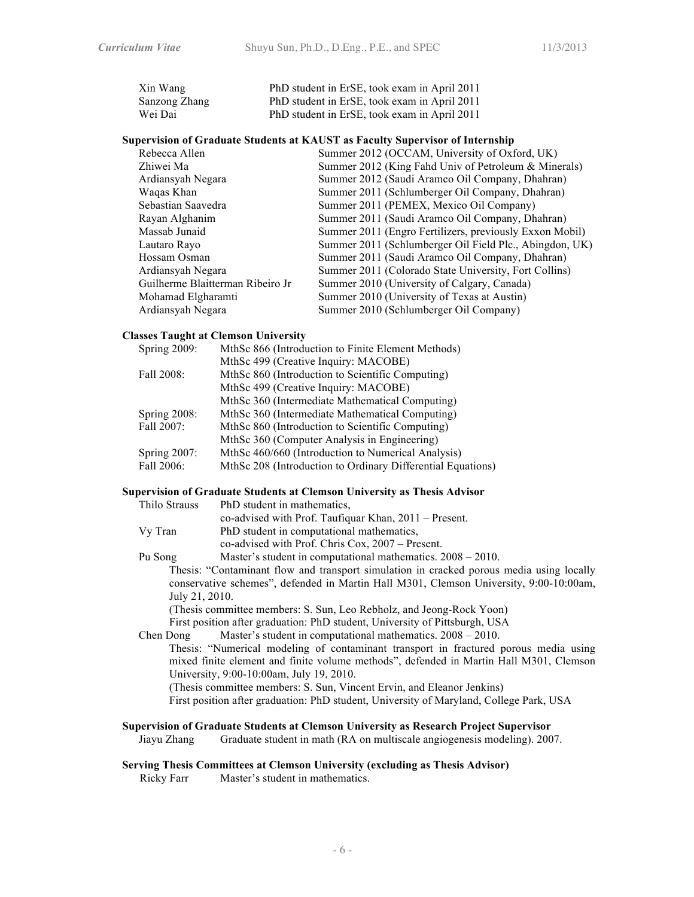| Xin Wang      | PhD student in ErSE, took exam in April 2011 |
|---------------|----------------------------------------------|
| Sanzong Zhang | PhD student in ErSE, took exam in April 2011 |
| Wei Dai       | PhD student in ErSE, took exam in April 2011 |

#### **Supervision of Graduate Students at KAUST as Faculty Supervisor of Internship**

| Summer 2012 (OCCAM, University of Oxford, UK)           |
|---------------------------------------------------------|
| Summer 2012 (King Fahd Univ of Petroleum & Minerals)    |
| Summer 2012 (Saudi Aramco Oil Company, Dhahran)         |
| Summer 2011 (Schlumberger Oil Company, Dhahran)         |
| Summer 2011 (PEMEX, Mexico Oil Company)                 |
| Summer 2011 (Saudi Aramco Oil Company, Dhahran)         |
| Summer 2011 (Engro Fertilizers, previously Exxon Mobil) |
| Summer 2011 (Schlumberger Oil Field Plc., Abingdon, UK) |
| Summer 2011 (Saudi Aramco Oil Company, Dhahran)         |
| Summer 2011 (Colorado State University, Fort Collins)   |
| Summer 2010 (University of Calgary, Canada)             |
| Summer 2010 (University of Texas at Austin)             |
| Summer 2010 (Schlumberger Oil Company)                  |
|                                                         |

## **Classes Taught at Clemson University**

| Spring 2009:        | MthSc 866 (Introduction to Finite Element Methods)          |
|---------------------|-------------------------------------------------------------|
|                     | MthSc 499 (Creative Inquiry: MACOBE)                        |
| Fall 2008:          | MthSc 860 (Introduction to Scientific Computing)            |
|                     | MthSc 499 (Creative Inquiry: MACOBE)                        |
|                     | MthSc 360 (Intermediate Mathematical Computing)             |
| <b>Spring 2008:</b> | MthSc 360 (Intermediate Mathematical Computing)             |
| Fall 2007:          | MthSc 860 (Introduction to Scientific Computing)            |
|                     | MthSc 360 (Computer Analysis in Engineering)                |
| Spring 2007:        | MthSc 460/660 (Introduction to Numerical Analysis)          |
| Fall 2006:          | MthSc 208 (Introduction to Ordinary Differential Equations) |
|                     |                                                             |

## **Supervision of Graduate Students at Clemson University as Thesis Advisor**

| Thilo Strauss | PhD student in mathematics,                                    |
|---------------|----------------------------------------------------------------|
|               | co-advised with Prof. Taufiquar Khan, 2011 – Present.          |
| Vy Tran       | PhD student in computational mathematics,                      |
|               | co-advised with Prof. Chris Cox, 2007 – Present.               |
| Pu Song       | Master's student in computational mathematics. $2008 - 2010$ . |

Thesis: "Contaminant flow and transport simulation in cracked porous media using locally conservative schemes", defended in Martin Hall M301, Clemson University, 9:00-10:00am, July 21, 2010.

(Thesis committee members: S. Sun, Leo Rebholz, and Jeong-Rock Yoon) First position after graduation: PhD student, University of Pittsburgh, USA

Chen Dong Master's student in computational mathematics.  $2008 - 2010$ .

Thesis: "Numerical modeling of contaminant transport in fractured porous media using mixed finite element and finite volume methods", defended in Martin Hall M301, Clemson University, 9:00-10:00am, July 19, 2010.

(Thesis committee members: S. Sun, Vincent Ervin, and Eleanor Jenkins)

First position after graduation: PhD student, University of Maryland, College Park, USA

#### **Supervision of Graduate Students at Clemson University as Research Project Supervisor**

Jiayu Zhang Graduate student in math (RA on multiscale angiogenesis modeling). 2007.

## **Serving Thesis Committees at Clemson University (excluding as Thesis Advisor)**

Ricky Farr Master's student in mathematics.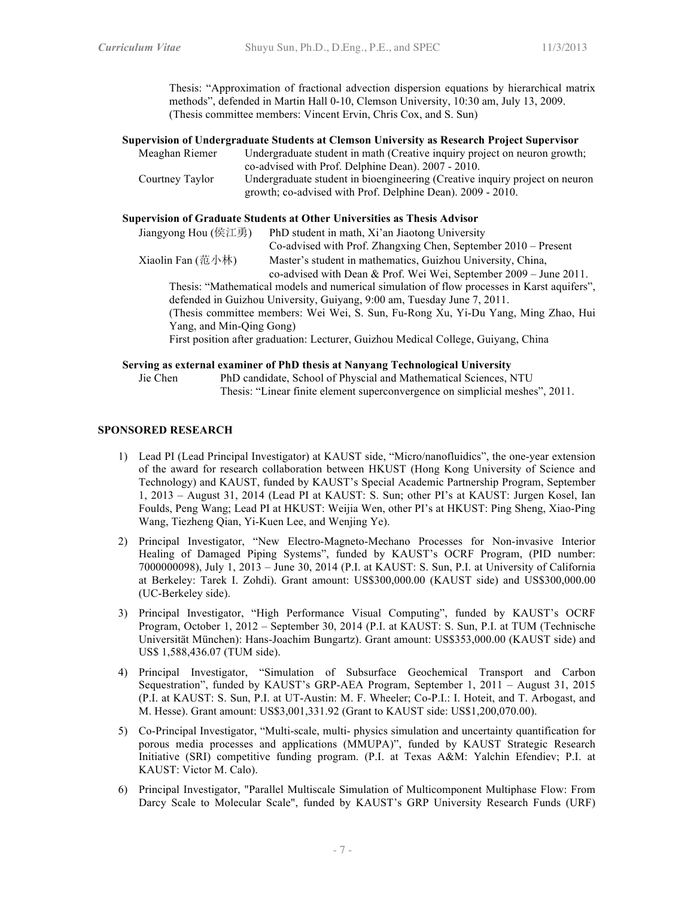Thesis: "Approximation of fractional advection dispersion equations by hierarchical matrix methods", defended in Martin Hall 0-10, Clemson University, 10:30 am, July 13, 2009. (Thesis committee members: Vincent Ervin, Chris Cox, and S. Sun)

| Supervision of Undergraduate Students at Clemson University as Research Project Supervisor |                                                                             |  |
|--------------------------------------------------------------------------------------------|-----------------------------------------------------------------------------|--|
| Meaghan Riemer                                                                             | Undergraduate student in math (Creative inquiry project on neuron growth;   |  |
|                                                                                            | co-advised with Prof. Delphine Dean). 2007 - 2010.                          |  |
| Courtney Taylor                                                                            | Undergraduate student in bioengineering (Creative inquiry project on neuron |  |
|                                                                                            | growth; co-advised with Prof. Delphine Dean). 2009 - 2010.                  |  |

#### **Supervision of Graduate Students at Other Universities as Thesis Advisor**

| Jiangyong Hou (侯江勇)                                                                         | PhD student in math, Xi'an Jiaotong University                                     |  |  |  |
|---------------------------------------------------------------------------------------------|------------------------------------------------------------------------------------|--|--|--|
|                                                                                             | Co-advised with Prof. Zhangxing Chen, September 2010 – Present                     |  |  |  |
| Xiaolin Fan (范小林)                                                                           | Master's student in mathematics, Guizhou University, China,                        |  |  |  |
|                                                                                             | co-advised with Dean & Prof. Wei Wei, September 2009 - June 2011.                  |  |  |  |
| Thesis: "Mathematical models and numerical simulation of flow processes in Karst aquifers", |                                                                                    |  |  |  |
|                                                                                             | defended in Guizhou University, Guiyang, 9:00 am, Tuesday June 7, 2011.            |  |  |  |
| (Thesis committee members: Wei Wei, S. Sun, Fu-Rong Xu, Yi-Du Yang, Ming Zhao, Hui          |                                                                                    |  |  |  |
| Yang, and Min-Qing Gong)                                                                    |                                                                                    |  |  |  |
|                                                                                             | First position after graduation: Lecturer, Guizhou Medical College, Guiyang, China |  |  |  |
|                                                                                             |                                                                                    |  |  |  |

#### **Serving as external examiner of PhD thesis at Nanyang Technological University**

Jie Chen PhD candidate, School of Physcial and Mathematical Sciences, NTU

Thesis: "Linear finite element superconvergence on simplicial meshes", 2011.

## **SPONSORED RESEARCH**

- 1) Lead PI (Lead Principal Investigator) at KAUST side, "Micro/nanofluidics", the one-year extension of the award for research collaboration between HKUST (Hong Kong University of Science and Technology) and KAUST, funded by KAUST's Special Academic Partnership Program, September 1, 2013 – August 31, 2014 (Lead PI at KAUST: S. Sun; other PI's at KAUST: Jurgen Kosel, Ian Foulds, Peng Wang; Lead PI at HKUST: Weijia Wen, other PI's at HKUST: Ping Sheng, Xiao-Ping Wang, Tiezheng Qian, Yi-Kuen Lee, and Wenjing Ye).
- 2) Principal Investigator, "New Electro-Magneto-Mechano Processes for Non-invasive Interior Healing of Damaged Piping Systems", funded by KAUST's OCRF Program, (PID number: 7000000098), July 1, 2013 – June 30, 2014 (P.I. at KAUST: S. Sun, P.I. at University of California at Berkeley: Tarek I. Zohdi). Grant amount: US\$300,000.00 (KAUST side) and US\$300,000.00 (UC-Berkeley side).
- 3) Principal Investigator, "High Performance Visual Computing", funded by KAUST's OCRF Program, October 1, 2012 – September 30, 2014 (P.I. at KAUST: S. Sun, P.I. at TUM (Technische Universität München): Hans-Joachim Bungartz). Grant amount: US\$353,000.00 (KAUST side) and US\$ 1,588,436.07 (TUM side).
- 4) Principal Investigator, "Simulation of Subsurface Geochemical Transport and Carbon Sequestration", funded by KAUST's GRP-AEA Program, September 1, 2011 – August 31, 2015 (P.I. at KAUST: S. Sun, P.I. at UT-Austin: M. F. Wheeler; Co-P.I.: I. Hoteit, and T. Arbogast, and M. Hesse). Grant amount: US\$3,001,331.92 (Grant to KAUST side: US\$1,200,070.00).
- 5) Co-Principal Investigator, "Multi-scale, multi- physics simulation and uncertainty quantification for porous media processes and applications (MMUPA)", funded by KAUST Strategic Research Initiative (SRI) competitive funding program. (P.I. at Texas A&M: Yalchin Efendiev; P.I. at KAUST: Victor M. Calo).
- 6) Principal Investigator, "Parallel Multiscale Simulation of Multicomponent Multiphase Flow: From Darcy Scale to Molecular Scale", funded by KAUST's GRP University Research Funds (URF)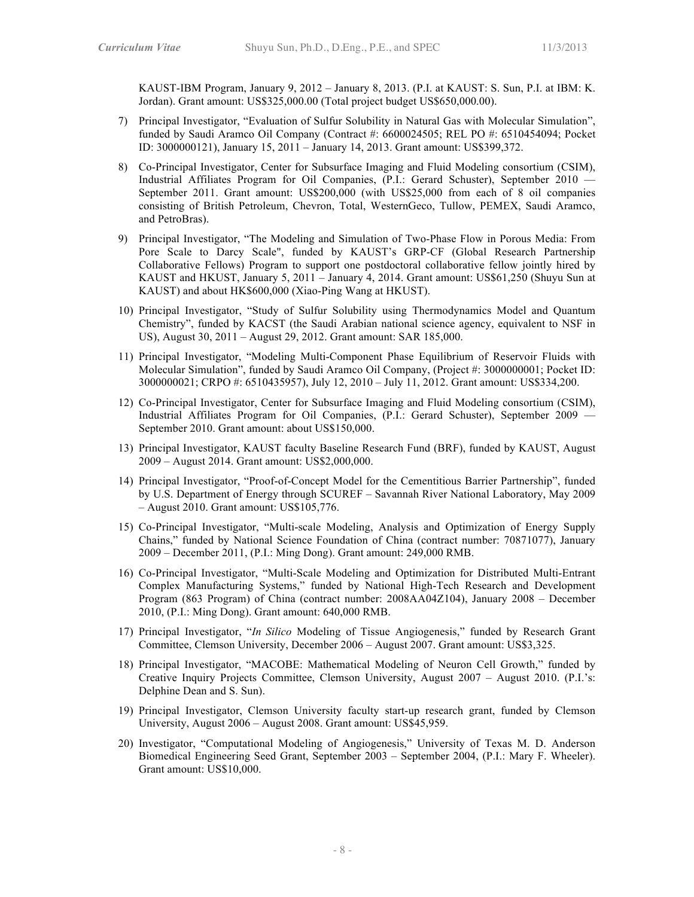KAUST-IBM Program, January 9, 2012 – January 8, 2013. (P.I. at KAUST: S. Sun, P.I. at IBM: K. Jordan). Grant amount: US\$325,000.00 (Total project budget US\$650,000.00).

- 7) Principal Investigator, "Evaluation of Sulfur Solubility in Natural Gas with Molecular Simulation", funded by Saudi Aramco Oil Company (Contract #: 6600024505; REL PO #: 6510454094; Pocket ID: 3000000121), January 15, 2011 – January 14, 2013. Grant amount: US\$399,372.
- 8) Co-Principal Investigator, Center for Subsurface Imaging and Fluid Modeling consortium (CSIM), Industrial Affiliates Program for Oil Companies, (P.I.: Gerard Schuster), September 2010 — September 2011. Grant amount: US\$200,000 (with US\$25,000 from each of 8 oil companies consisting of British Petroleum, Chevron, Total, WesternGeco, Tullow, PEMEX, Saudi Aramco, and PetroBras).
- 9) Principal Investigator, "The Modeling and Simulation of Two-Phase Flow in Porous Media: From Pore Scale to Darcy Scale", funded by KAUST's GRP-CF (Global Research Partnership Collaborative Fellows) Program to support one postdoctoral collaborative fellow jointly hired by KAUST and HKUST, January 5, 2011 – January 4, 2014. Grant amount: US\$61,250 (Shuyu Sun at KAUST) and about HK\$600,000 (Xiao-Ping Wang at HKUST).
- 10) Principal Investigator, "Study of Sulfur Solubility using Thermodynamics Model and Quantum Chemistry", funded by KACST (the Saudi Arabian national science agency, equivalent to NSF in US), August 30, 2011 – August 29, 2012. Grant amount: SAR 185,000.
- 11) Principal Investigator, "Modeling Multi-Component Phase Equilibrium of Reservoir Fluids with Molecular Simulation", funded by Saudi Aramco Oil Company, (Project #: 3000000001; Pocket ID: 3000000021; CRPO #: 6510435957), July 12, 2010 – July 11, 2012. Grant amount: US\$334,200.
- 12) Co-Principal Investigator, Center for Subsurface Imaging and Fluid Modeling consortium (CSIM), Industrial Affiliates Program for Oil Companies, (P.I.: Gerard Schuster), September 2009 — September 2010. Grant amount: about US\$150,000.
- 13) Principal Investigator, KAUST faculty Baseline Research Fund (BRF), funded by KAUST, August 2009 – August 2014. Grant amount: US\$2,000,000.
- 14) Principal Investigator, "Proof-of-Concept Model for the Cementitious Barrier Partnership", funded by U.S. Department of Energy through SCUREF – Savannah River National Laboratory, May 2009 – August 2010. Grant amount: US\$105,776.
- 15) Co-Principal Investigator, "Multi-scale Modeling, Analysis and Optimization of Energy Supply Chains," funded by National Science Foundation of China (contract number: 70871077), January 2009 – December 2011, (P.I.: Ming Dong). Grant amount: 249,000 RMB.
- 16) Co-Principal Investigator, "Multi-Scale Modeling and Optimization for Distributed Multi-Entrant Complex Manufacturing Systems," funded by National High-Tech Research and Development Program (863 Program) of China (contract number: 2008AA04Z104), January 2008 – December 2010, (P.I.: Ming Dong). Grant amount: 640,000 RMB.
- 17) Principal Investigator, "*In Silico* Modeling of Tissue Angiogenesis," funded by Research Grant Committee, Clemson University, December 2006 – August 2007. Grant amount: US\$3,325.
- 18) Principal Investigator, "MACOBE: Mathematical Modeling of Neuron Cell Growth," funded by Creative Inquiry Projects Committee, Clemson University, August 2007 – August 2010. (P.I.'s: Delphine Dean and S. Sun).
- 19) Principal Investigator, Clemson University faculty start-up research grant, funded by Clemson University, August 2006 – August 2008. Grant amount: US\$45,959.
- 20) Investigator, "Computational Modeling of Angiogenesis," University of Texas M. D. Anderson Biomedical Engineering Seed Grant, September 2003 – September 2004, (P.I.: Mary F. Wheeler). Grant amount: US\$10,000.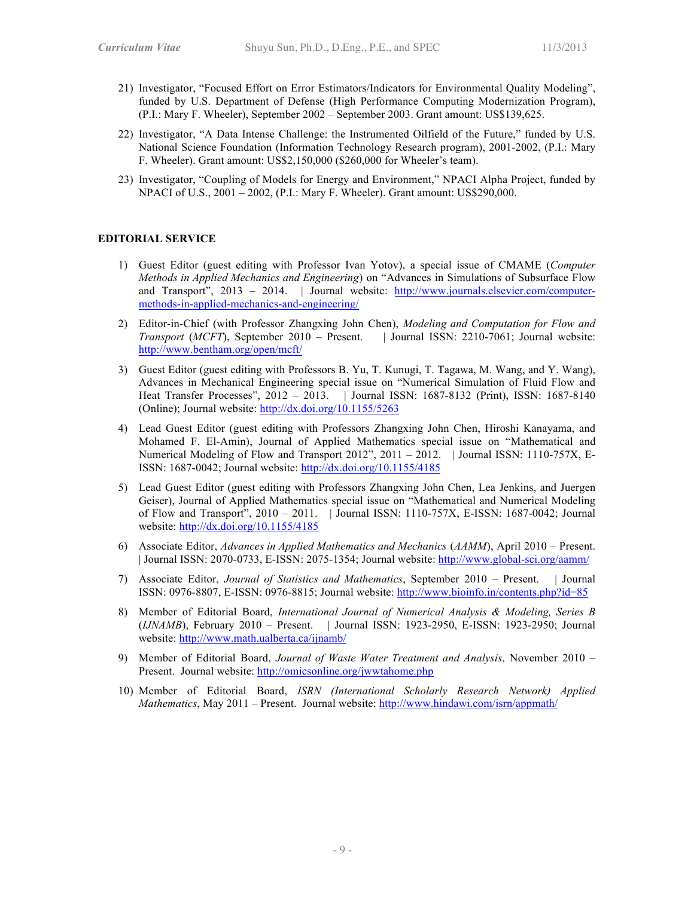- 21) Investigator, "Focused Effort on Error Estimators/Indicators for Environmental Quality Modeling", funded by U.S. Department of Defense (High Performance Computing Modernization Program), (P.I.: Mary F. Wheeler), September 2002 – September 2003. Grant amount: US\$139,625.
- 22) Investigator, "A Data Intense Challenge: the Instrumented Oilfield of the Future," funded by U.S. National Science Foundation (Information Technology Research program), 2001-2002, (P.I.: Mary F. Wheeler). Grant amount: US\$2,150,000 (\$260,000 for Wheeler's team).
- 23) Investigator, "Coupling of Models for Energy and Environment," NPACI Alpha Project, funded by NPACI of U.S., 2001 – 2002, (P.I.: Mary F. Wheeler). Grant amount: US\$290,000.

## **EDITORIAL SERVICE**

- 1) Guest Editor (guest editing with Professor Ivan Yotov), a special issue of CMAME (*Computer Methods in Applied Mechanics and Engineering*) on "Advances in Simulations of Subsurface Flow and Transport", 2013 – 2014. | Journal website: http://www.journals.elsevier.com/computermethods-in-applied-mechanics-and-engineering/
- 2) Editor-in-Chief (with Professor Zhangxing John Chen), *Modeling and Computation for Flow and Transport* (*MCFT*), September 2010 – Present. | Journal ISSN: 2210-7061; Journal website: http://www.bentham.org/open/mcft/
- 3) Guest Editor (guest editing with Professors B. Yu, T. Kunugi, T. Tagawa, M. Wang, and Y. Wang), Advances in Mechanical Engineering special issue on "Numerical Simulation of Fluid Flow and Heat Transfer Processes", 2012 – 2013. | Journal ISSN: 1687-8132 (Print), ISSN: 1687-8140 (Online); Journal website: http://dx.doi.org/10.1155/5263
- 4) Lead Guest Editor (guest editing with Professors Zhangxing John Chen, Hiroshi Kanayama, and Mohamed F. El-Amin), Journal of Applied Mathematics special issue on "Mathematical and Numerical Modeling of Flow and Transport 2012", 2011 – 2012. | Journal ISSN: 1110-757X, E-ISSN: 1687-0042; Journal website: http://dx.doi.org/10.1155/4185
- 5) Lead Guest Editor (guest editing with Professors Zhangxing John Chen, Lea Jenkins, and Juergen Geiser), Journal of Applied Mathematics special issue on "Mathematical and Numerical Modeling of Flow and Transport", 2010 – 2011. | Journal ISSN: 1110-757X, E-ISSN: 1687-0042; Journal website: http://dx.doi.org/10.1155/4185
- 6) Associate Editor, *Advances in Applied Mathematics and Mechanics* (*AAMM*), April 2010 Present. | Journal ISSN: 2070-0733, E-ISSN: 2075-1354; Journal website: http://www.global-sci.org/aamm/
- 7) Associate Editor, *Journal of Statistics and Mathematics*, September 2010 Present. | Journal ISSN: 0976-8807, E-ISSN: 0976-8815; Journal website: http://www.bioinfo.in/contents.php?id=85
- 8) Member of Editorial Board, *International Journal of Numerical Analysis & Modeling, Series B* (*IJNAMB*), February 2010 – Present. | Journal ISSN: 1923-2950, E-ISSN: 1923-2950; Journal website: http://www.math.ualberta.ca/ijnamb/
- 9) Member of Editorial Board, *Journal of Waste Water Treatment and Analysis*, November 2010 Present. Journal website: http://omicsonline.org/jwwtahome.php
- 10) Member of Editorial Board, *ISRN (International Scholarly Research Network) Applied Mathematics*, May 2011 – Present. Journal website: http://www.hindawi.com/isrn/appmath/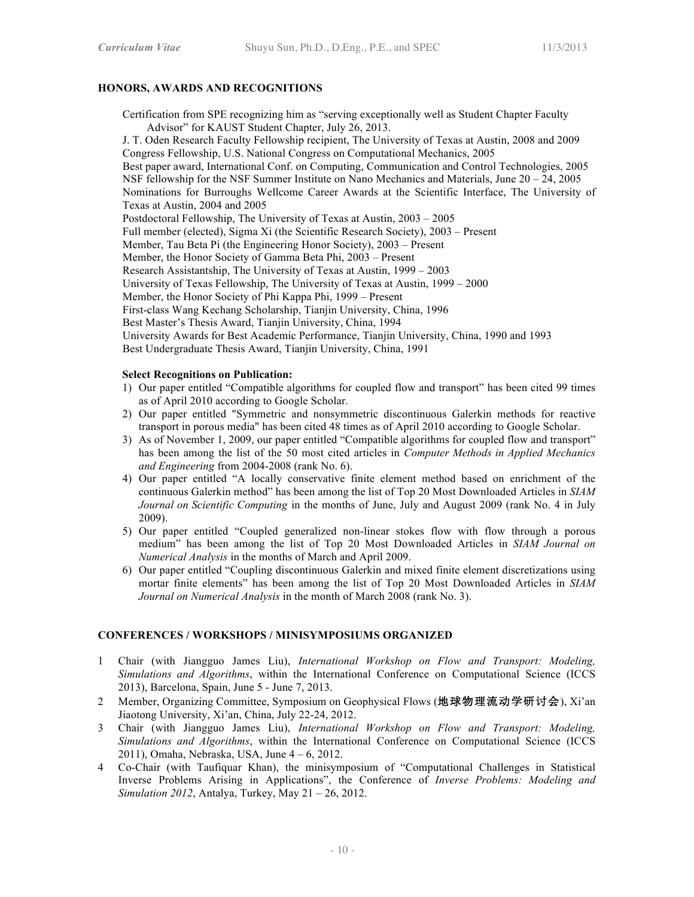## **HONORS, AWARDS AND RECOGNITIONS**

Certification from SPE recognizing him as "serving exceptionally well as Student Chapter Faculty Advisor" for KAUST Student Chapter, July 26, 2013.

J. T. Oden Research Faculty Fellowship recipient, The University of Texas at Austin, 2008 and 2009 Congress Fellowship, U.S. National Congress on Computational Mechanics, 2005 Best paper award, International Conf. on Computing, Communication and Control Technologies, 2005 NSF fellowship for the NSF Summer Institute on Nano Mechanics and Materials, June 20 – 24, 2005 Nominations for Burroughs Wellcome Career Awards at the Scientific Interface, The University of Texas at Austin, 2004 and 2005

Postdoctoral Fellowship, The University of Texas at Austin, 2003 – 2005

Full member (elected), Sigma Xi (the Scientific Research Society), 2003 – Present

Member, Tau Beta Pi (the Engineering Honor Society), 2003 – Present

Member, the Honor Society of Gamma Beta Phi, 2003 – Present

Research Assistantship, The University of Texas at Austin, 1999 – 2003

University of Texas Fellowship, The University of Texas at Austin, 1999 – 2000

Member, the Honor Society of Phi Kappa Phi, 1999 – Present

First-class Wang Kechang Scholarship, Tianjin University, China, 1996

Best Master's Thesis Award, Tianjin University, China, 1994

University Awards for Best Academic Performance, Tianjin University, China, 1990 and 1993

Best Undergraduate Thesis Award, Tianjin University, China, 1991

## **Select Recognitions on Publication:**

- 1) Our paper entitled "Compatible algorithms for coupled flow and transport" has been cited 99 times as of April 2010 according to Google Scholar.
- 2) Our paper entitled "Symmetric and nonsymmetric discontinuous Galerkin methods for reactive transport in porous media" has been cited 48 times as of April 2010 according to Google Scholar.
- 3) As of November 1, 2009, our paper entitled "Compatible algorithms for coupled flow and transport" has been among the list of the 50 most cited articles in *Computer Methods in Applied Mechanics and Engineering* from 2004-2008 (rank No. 6).
- 4) Our paper entitled "A locally conservative finite element method based on enrichment of the continuous Galerkin method" has been among the list of Top 20 Most Downloaded Articles in *SIAM Journal on Scientific Computing* in the months of June, July and August 2009 (rank No. 4 in July 2009).
- 5) Our paper entitled "Coupled generalized non-linear stokes flow with flow through a porous medium" has been among the list of Top 20 Most Downloaded Articles in *SIAM Journal on Numerical Analysis* in the months of March and April 2009.
- 6) Our paper entitled "Coupling discontinuous Galerkin and mixed finite element discretizations using mortar finite elements" has been among the list of Top 20 Most Downloaded Articles in *SIAM Journal on Numerical Analysis* in the month of March 2008 (rank No. 3).

## **CONFERENCES / WORKSHOPS / MINISYMPOSIUMS ORGANIZED**

- 1 Chair (with Jiangguo James Liu), *International Workshop on Flow and Transport: Modeling, Simulations and Algorithms*, within the International Conference on Computational Science (ICCS 2013), Barcelona, Spain, June 5 - June 7, 2013.
- 2 Member, Organizing Committee, Symposium on Geophysical Flows (地球物理流动学研讨会), Xi'an Jiaotong University, Xi'an, China, July 22-24, 2012.
- 3 Chair (with Jiangguo James Liu), *International Workshop on Flow and Transport: Modeling, Simulations and Algorithms*, within the International Conference on Computational Science (ICCS 2011), Omaha, Nebraska, USA, June 4 – 6, 2012.
- 4 Co-Chair (with Taufiquar Khan), the minisymposium of "Computational Challenges in Statistical Inverse Problems Arising in Applications", the Conference of *Inverse Problems: Modeling and Simulation 2012*, Antalya, Turkey, May 21 – 26, 2012.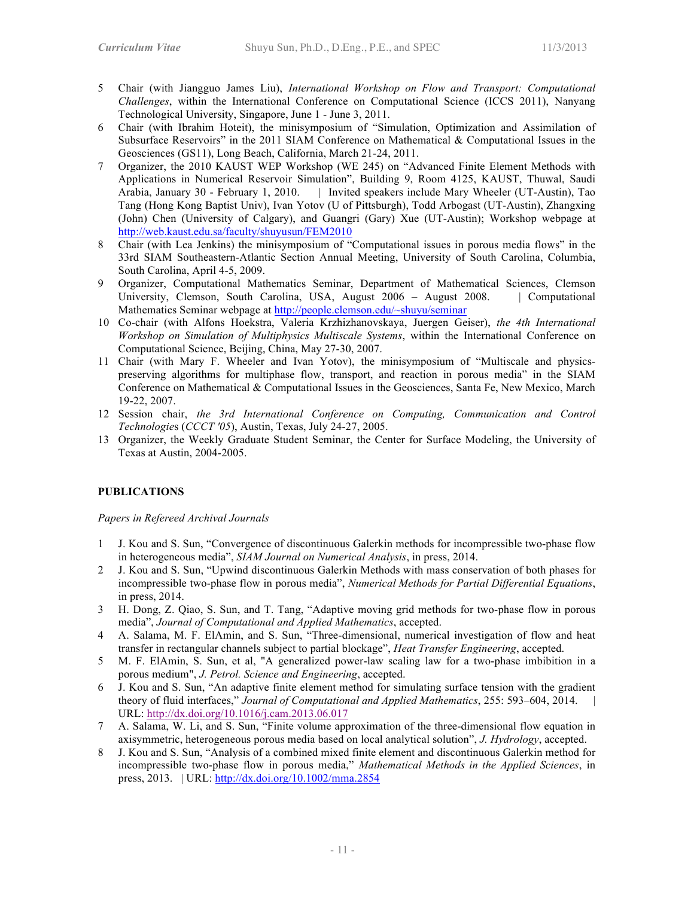- 5 Chair (with Jiangguo James Liu), *International Workshop on Flow and Transport: Computational Challenges*, within the International Conference on Computational Science (ICCS 2011), Nanyang Technological University, Singapore, June 1 - June 3, 2011.
- 6 Chair (with Ibrahim Hoteit), the minisymposium of "Simulation, Optimization and Assimilation of Subsurface Reservoirs" in the 2011 SIAM Conference on Mathematical & Computational Issues in the Geosciences (GS11), Long Beach, California, March 21-24, 2011.
- 7 Organizer, the 2010 KAUST WEP Workshop (WE 245) on "Advanced Finite Element Methods with Applications in Numerical Reservoir Simulation", Building 9, Room 4125, KAUST, Thuwal, Saudi Arabia, January 30 - February 1, 2010. | Invited speakers include Mary Wheeler (UT-Austin), Tao Tang (Hong Kong Baptist Univ), Ivan Yotov (U of Pittsburgh), Todd Arbogast (UT-Austin), Zhangxing (John) Chen (University of Calgary), and Guangri (Gary) Xue (UT-Austin); Workshop webpage at http://web.kaust.edu.sa/faculty/shuyusun/FEM2010
- 8 Chair (with Lea Jenkins) the minisymposium of "Computational issues in porous media flows" in the 33rd SIAM Southeastern-Atlantic Section Annual Meeting, University of South Carolina, Columbia, South Carolina, April 4-5, 2009.
- 9 Organizer, Computational Mathematics Seminar, Department of Mathematical Sciences, Clemson University, Clemson, South Carolina, USA, August 2006 – August 2008. | Computational Mathematics Seminar webpage at http://people.clemson.edu/~shuyu/seminar
- 10 Co-chair (with Alfons Hoekstra, Valeria Krzhizhanovskaya, Juergen Geiser), *the 4th International Workshop on Simulation of Multiphysics Multiscale Systems*, within the International Conference on Computational Science, Beijing, China, May 27-30, 2007.
- 11 Chair (with Mary F. Wheeler and Ivan Yotov), the minisymposium of "Multiscale and physicspreserving algorithms for multiphase flow, transport, and reaction in porous media" in the SIAM Conference on Mathematical & Computational Issues in the Geosciences, Santa Fe, New Mexico, March 19-22, 2007.
- 12 Session chair, *the 3rd International Conference on Computing, Communication and Control Technologie*s (*CCCT '05*), Austin, Texas, July 24-27, 2005.
- 13 Organizer, the Weekly Graduate Student Seminar, the Center for Surface Modeling, the University of Texas at Austin, 2004-2005.

## **PUBLICATIONS**

*Papers in Refereed Archival Journals*

- 1 J. Kou and S. Sun, "Convergence of discontinuous Galerkin methods for incompressible two-phase flow in heterogeneous media", *SIAM Journal on Numerical Analysis*, in press, 2014.
- 2 J. Kou and S. Sun, "Upwind discontinuous Galerkin Methods with mass conservation of both phases for incompressible two-phase flow in porous media", *Numerical Methods for Partial Differential Equations*, in press, 2014.
- 3 H. Dong, Z. Qiao, S. Sun, and T. Tang, "Adaptive moving grid methods for two-phase flow in porous media", *Journal of Computational and Applied Mathematics*, accepted.
- 4 A. Salama, M. F. ElAmin, and S. Sun, "Three-dimensional, numerical investigation of flow and heat transfer in rectangular channels subject to partial blockage", *Heat Transfer Engineering*, accepted.
- 5 M. F. ElAmin, S. Sun, et al, "A generalized power-law scaling law for a two-phase imbibition in a porous medium", *J. Petrol. Science and Engineering*, accepted.
- 6 J. Kou and S. Sun, "An adaptive finite element method for simulating surface tension with the gradient theory of fluid interfaces," Journal of Computational and Applied Mathematics, 255: 593-604, 2014. URL: http://dx.doi.org/10.1016/j.cam.2013.06.017
- 7 A. Salama, W. Li, and S. Sun, "Finite volume approximation of the three-dimensional flow equation in axisymmetric, heterogeneous porous media based on local analytical solution", *J. Hydrology*, accepted.
- 8 J. Kou and S. Sun, "Analysis of a combined mixed finite element and discontinuous Galerkin method for incompressible two-phase flow in porous media," *Mathematical Methods in the Applied Sciences*, in press, 2013. | URL: http://dx.doi.org/10.1002/mma.2854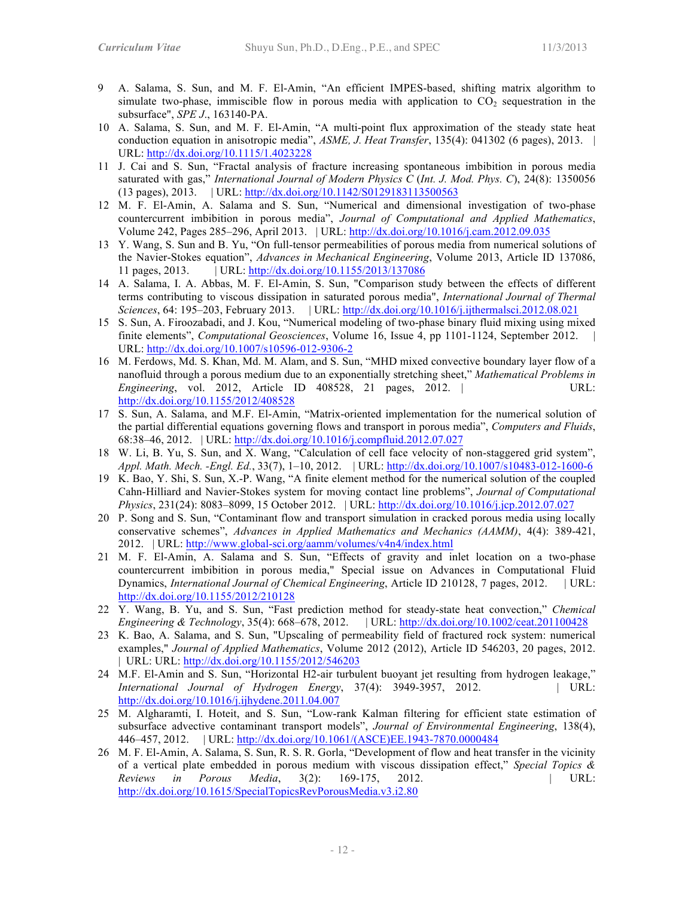- 9 A. Salama, S. Sun, and M. F. El-Amin, "An efficient IMPES-based, shifting matrix algorithm to simulate two-phase, immiscible flow in porous media with application to  $CO<sub>2</sub>$  sequestration in the subsurface", *SPE J*., 163140-PA.
- 10 A. Salama, S. Sun, and M. F. El-Amin, "A multi-point flux approximation of the steady state heat conduction equation in anisotropic media", *ASME, J. Heat Transfer*, 135(4): 041302 (6 pages), 2013. | URL: http://dx.doi.org/10.1115/1.4023228
- 11 J. Cai and S. Sun, "Fractal analysis of fracture increasing spontaneous imbibition in porous media saturated with gas," *International Journal of Modern Physics C* (*Int. J. Mod. Phys. C*), 24(8): 1350056 (13 pages), 2013. | URL: http://dx.doi.org/10.1142/S0129183113500563
- 12 M. F. El-Amin, A. Salama and S. Sun, "Numerical and dimensional investigation of two-phase countercurrent imbibition in porous media", *Journal of Computational and Applied Mathematics*, Volume 242, Pages 285–296, April 2013. | URL: http://dx.doi.org/10.1016/j.cam.2012.09.035
- 13 Y. Wang, S. Sun and B. Yu, "On full-tensor permeabilities of porous media from numerical solutions of the Navier-Stokes equation", *Advances in Mechanical Engineering*, Volume 2013, Article ID 137086, 11 pages, 2013. | URL: http://dx.doi.org/10.1155/2013/137086
- 14 A. Salama, I. A. Abbas, M. F. El-Amin, S. Sun, "Comparison study between the effects of different terms contributing to viscous dissipation in saturated porous media", *International Journal of Thermal Sciences*, 64: 195–203, February 2013. | URL: http://dx.doi.org/10.1016/j.ijthermalsci.2012.08.021
- 15 S. Sun, A. Firoozabadi, and J. Kou, "Numerical modeling of two-phase binary fluid mixing using mixed finite elements", *Computational Geosciences*, Volume 16, Issue 4, pp 1101-1124, September 2012. URL: http://dx.doi.org/10.1007/s10596-012-9306-2
- 16 M. Ferdows, Md. S. Khan, Md. M. Alam, and S. Sun, "MHD mixed convective boundary layer flow of a nanofluid through a porous medium due to an exponentially stretching sheet," *Mathematical Problems in Engineering*, vol. 2012, Article ID 408528, 21 pages, 2012. | URL: http://dx.doi.org/10.1155/2012/408528
- 17 S. Sun, A. Salama, and M.F. El-Amin, "Matrix-oriented implementation for the numerical solution of the partial differential equations governing flows and transport in porous media", *Computers and Fluids*, 68:38–46, 2012. | URL: http://dx.doi.org/10.1016/j.compfluid.2012.07.027
- 18 W. Li, B. Yu, S. Sun, and X. Wang, "Calculation of cell face velocity of non-staggered grid system", *Appl. Math. Mech. -Engl. Ed.*, 33(7), 1–10, 2012. | URL: http://dx.doi.org/10.1007/s10483-012-1600-6
- 19 K. Bao, Y. Shi, S. Sun, X.-P. Wang, "A finite element method for the numerical solution of the coupled Cahn-Hilliard and Navier-Stokes system for moving contact line problems", *Journal of Computational Physics*, 231(24): 8083–8099, 15 October 2012. | URL: http://dx.doi.org/10.1016/j.jcp.2012.07.027
- 20 P. Song and S. Sun, "Contaminant flow and transport simulation in cracked porous media using locally conservative schemes", *Advances in Applied Mathematics and Mechanics (AAMM)*, 4(4): 389-421, 2012. | URL: http://www.global-sci.org/aamm/volumes/v4n4/index.html
- 21 M. F. El-Amin, A. Salama and S. Sun, "Effects of gravity and inlet location on a two-phase countercurrent imbibition in porous media," Special issue on Advances in Computational Fluid Dynamics, *International Journal of Chemical Engineering*, Article ID 210128, 7 pages, 2012. | URL: http://dx.doi.org/10.1155/2012/210128
- 22 Y. Wang, B. Yu, and S. Sun, "Fast prediction method for steady-state heat convection," *Chemical Engineering & Technology*, 35(4): 668–678, 2012. | URL: http://dx.doi.org/10.1002/ceat.201100428
- 23 K. Bao, A. Salama, and S. Sun, "Upscaling of permeability field of fractured rock system: numerical examples," *Journal of Applied Mathematics*, Volume 2012 (2012), Article ID 546203, 20 pages, 2012. | URL: URL: http://dx.doi.org/10.1155/2012/546203
- 24 M.F. El-Amin and S. Sun, "Horizontal H2-air turbulent buoyant jet resulting from hydrogen leakage," *International Journal of Hydrogen Energy*, 37(4): 3949-3957, 2012. | URL: http://dx.doi.org/10.1016/j.ijhydene.2011.04.007
- 25 M. Algharamti, I. Hoteit, and S. Sun, "Low-rank Kalman filtering for efficient state estimation of subsurface advective contaminant transport models", *Journal of Environmental Engineering*, 138(4), 446–457, 2012. | URL: http://dx.doi.org/10.1061/(ASCE)EE.1943-7870.0000484
- 26 M. F. El-Amin, A. Salama, S. Sun, R. S. R. Gorla, "Development of flow and heat transfer in the vicinity of a vertical plate embedded in porous medium with viscous dissipation effect," *Special Topics & Reviews in Porous Media*, 3(2): 169-175, 2012. | URL: http://dx.doi.org/10.1615/SpecialTopicsRevPorousMedia.v3.i2.80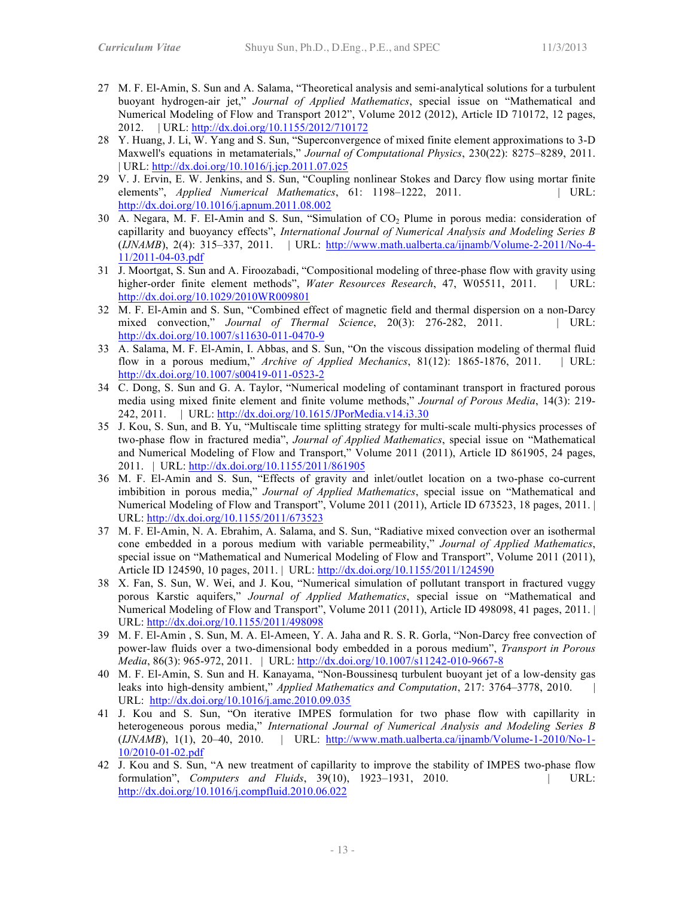- 27 M. F. El-Amin, S. Sun and A. Salama, "Theoretical analysis and semi-analytical solutions for a turbulent buoyant hydrogen-air jet," *Journal of Applied Mathematics*, special issue on "Mathematical and Numerical Modeling of Flow and Transport 2012", Volume 2012 (2012), Article ID 710172, 12 pages, 2012. | URL: http://dx.doi.org/10.1155/2012/710172
- 28 Y. Huang, J. Li, W. Yang and S. Sun, "Superconvergence of mixed finite element approximations to 3-D Maxwell's equations in metamaterials," *Journal of Computational Physics*, 230(22): 8275–8289, 2011. | URL: http://dx.doi.org/10.1016/j.jcp.2011.07.025
- 29 V. J. Ervin, E. W. Jenkins, and S. Sun, "Coupling nonlinear Stokes and Darcy flow using mortar finite elements", *Applied Numerical Mathematics*, 61: 1198–1222, 2011. | URL: http://dx.doi.org/10.1016/j.apnum.2011.08.002
- 30 A. Negara, M. F. El-Amin and S. Sun, "Simulation of  $CO<sub>2</sub>$  Plume in porous media: consideration of capillarity and buoyancy effects", *International Journal of Numerical Analysis and Modeling Series B* (*IJNAMB*), 2(4): 315–337, 2011. | URL: http://www.math.ualberta.ca/ijnamb/Volume-2-2011/No-4- 11/2011-04-03.pdf
- 31 J. Moortgat, S. Sun and A. Firoozabadi, "Compositional modeling of three-phase flow with gravity using higher-order finite element methods", *Water Resources Research*, 47, W05511, 2011. | URL: http://dx.doi.org/10.1029/2010WR009801
- 32 M. F. El-Amin and S. Sun, "Combined effect of magnetic field and thermal dispersion on a non-Darcy mixed convection," *Journal of Thermal Science*, 20(3): 276-282, 2011. | URL: http://dx.doi.org/10.1007/s11630-011-0470-9
- 33 A. Salama, M. F. El-Amin, I. Abbas, and S. Sun, "On the viscous dissipation modeling of thermal fluid flow in a porous medium," *Archive of Applied Mechanics*, 81(12): 1865-1876, 2011. | URL: http://dx.doi.org/10.1007/s00419-011-0523-2
- 34 C. Dong, S. Sun and G. A. Taylor, "Numerical modeling of contaminant transport in fractured porous media using mixed finite element and finite volume methods," *Journal of Porous Media*, 14(3): 219- 242, 2011. | URL: http://dx.doi.org/10.1615/JPorMedia.v14.i3.30
- 35 J. Kou, S. Sun, and B. Yu, "Multiscale time splitting strategy for multi-scale multi-physics processes of two-phase flow in fractured media", *Journal of Applied Mathematics*, special issue on "Mathematical and Numerical Modeling of Flow and Transport," Volume 2011 (2011), Article ID 861905, 24 pages, 2011. | URL: http://dx.doi.org/10.1155/2011/861905
- 36 M. F. El-Amin and S. Sun, "Effects of gravity and inlet/outlet location on a two-phase co-current imbibition in porous media," *Journal of Applied Mathematics*, special issue on "Mathematical and Numerical Modeling of Flow and Transport", Volume 2011 (2011), Article ID 673523, 18 pages, 2011. | URL: http://dx.doi.org/10.1155/2011/673523
- 37 M. F. El-Amin, N. A. Ebrahim, A. Salama, and S. Sun, "Radiative mixed convection over an isothermal cone embedded in a porous medium with variable permeability," *Journal of Applied Mathematics*, special issue on "Mathematical and Numerical Modeling of Flow and Transport", Volume 2011 (2011), Article ID 124590, 10 pages, 2011. | URL: http://dx.doi.org/10.1155/2011/124590
- 38 X. Fan, S. Sun, W. Wei, and J. Kou, "Numerical simulation of pollutant transport in fractured vuggy porous Karstic aquifers," *Journal of Applied Mathematics*, special issue on "Mathematical and Numerical Modeling of Flow and Transport", Volume 2011 (2011), Article ID 498098, 41 pages, 2011. | URL: http://dx.doi.org/10.1155/2011/498098
- 39 M. F. El-Amin , S. Sun, M. A. El-Ameen, Y. A. Jaha and R. S. R. Gorla, "Non-Darcy free convection of power-law fluids over a two-dimensional body embedded in a porous medium", *Transport in Porous Media*, 86(3): 965-972, 2011. | URL: http://dx.doi.org/10.1007/s11242-010-9667-8
- 40 M. F. El-Amin, S. Sun and H. Kanayama, "Non-Boussinesq turbulent buoyant jet of a low-density gas leaks into high-density ambient," *Applied Mathematics and Computation*, 217: 3764–3778, 2010. URL: http://dx.doi.org/10.1016/j.amc.2010.09.035
- 41 J. Kou and S. Sun, "On iterative IMPES formulation for two phase flow with capillarity in heterogeneous porous media," *International Journal of Numerical Analysis and Modeling Series B* (*IJNAMB*), 1(1), 20–40, 2010. | URL: http://www.math.ualberta.ca/ijnamb/Volume-1-2010/No-1- 10/2010-01-02.pdf
- 42 J. Kou and S. Sun, "A new treatment of capillarity to improve the stability of IMPES two-phase flow formulation", *Computers and Fluids*, 39(10), 1923–1931, 2010. | URL: http://dx.doi.org/10.1016/j.compfluid.2010.06.022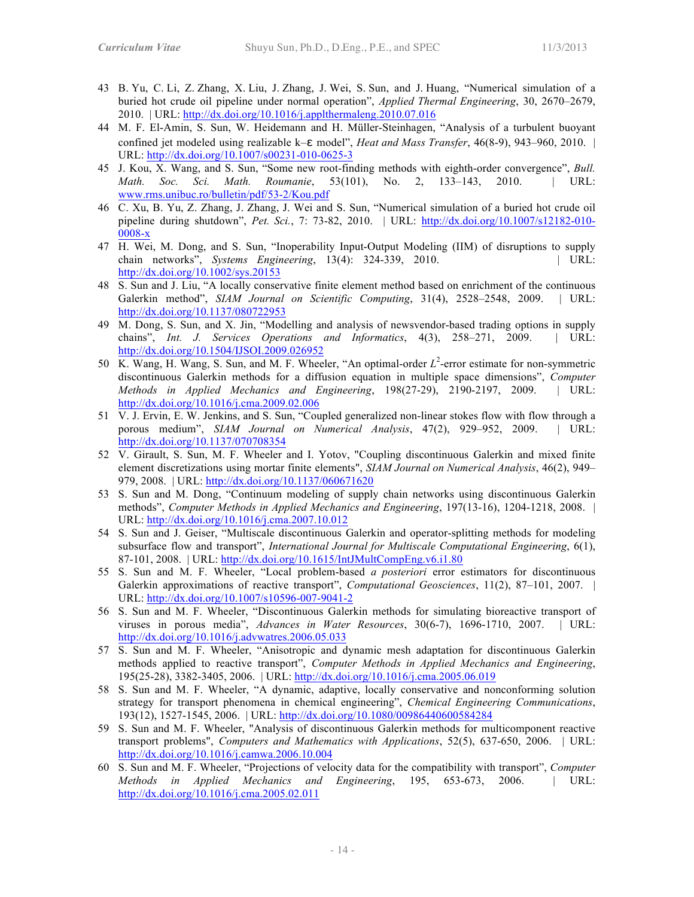- 43 B. Yu, C. Li, Z. Zhang, X. Liu, J. Zhang, J. Wei, S. Sun, and J. Huang, "Numerical simulation of a buried hot crude oil pipeline under normal operation", *Applied Thermal Engineering*, 30, 2670–2679, 2010. | URL: http://dx.doi.org/10.1016/j.applthermaleng.2010.07.016
- 44 M. F. El-Amin, S. Sun, W. Heidemann and H. Müller-Steinhagen, "Analysis of a turbulent buoyant confined jet modeled using realizable k–ɛ model", *Heat and Mass Transfer*, 46(8-9), 943–960, 2010. | URL: http://dx.doi.org/10.1007/s00231-010-0625-3
- 45 J. Kou, X. Wang, and S. Sun, "Some new root-finding methods with eighth-order convergence", *Bull. Math. Soc. Sci. Math. Roumanie*, 53(101), No. 2, 133–143, 2010. | URL: www.rms.unibuc.ro/bulletin/pdf/53-2/Kou.pdf
- 46 C. Xu, B. Yu, Z. Zhang, J. Zhang, J. Wei and S. Sun, "Numerical simulation of a buried hot crude oil pipeline during shutdown", *Pet. Sci.*, 7: 73-82, 2010. | URL: http://dx.doi.org/10.1007/s12182-010- 0008-x
- 47 H. Wei, M. Dong, and S. Sun, "Inoperability Input-Output Modeling (IIM) of disruptions to supply chain networks", *Systems Engineering*, 13(4): 324-339, 2010. | URL: http://dx.doi.org/10.1002/sys.20153
- 48 S. Sun and J. Liu, "A locally conservative finite element method based on enrichment of the continuous Galerkin method", *SIAM Journal on Scientific Computing*, 31(4), 2528–2548, 2009. | URL: http://dx.doi.org/10.1137/080722953
- 49 M. Dong, S. Sun, and X. Jin, "Modelling and analysis of newsvendor-based trading options in supply chains", *Int. J. Services Operations and Informatics*, 4(3), 258–271, 2009. | URL: http://dx.doi.org/10.1504/IJSOI.2009.026952
- 50 K. Wang, H. Wang, S. Sun, and M. F. Wheeler, "An optimal-order  $L^2$ -error estimate for non-symmetric discontinuous Galerkin methods for a diffusion equation in multiple space dimensions", *Computer Methods in Applied Mechanics and Engineering*, 198(27-29), 2190-2197, 2009. | URL: http://dx.doi.org/10.1016/j.cma.2009.02.006
- 51 V. J. Ervin, E. W. Jenkins, and S. Sun, "Coupled generalized non-linear stokes flow with flow through a porous medium", *SIAM Journal on Numerical Analysis*, 47(2), 929–952, 2009. | URL: http://dx.doi.org/10.1137/070708354
- 52 V. Girault, S. Sun, M. F. Wheeler and I. Yotov, "Coupling discontinuous Galerkin and mixed finite element discretizations using mortar finite elements", *SIAM Journal on Numerical Analysis*, 46(2), 949– 979, 2008. | URL: http://dx.doi.org/10.1137/060671620
- 53 S. Sun and M. Dong, "Continuum modeling of supply chain networks using discontinuous Galerkin methods", *Computer Methods in Applied Mechanics and Engineering*, 197(13-16), 1204-1218, 2008. | URL: http://dx.doi.org/10.1016/j.cma.2007.10.012
- 54 S. Sun and J. Geiser, "Multiscale discontinuous Galerkin and operator-splitting methods for modeling subsurface flow and transport", *International Journal for Multiscale Computational Engineering*, 6(1), 87-101, 2008. | URL: http://dx.doi.org/10.1615/IntJMultCompEng.v6.i1.80
- 55 S. Sun and M. F. Wheeler, "Local problem-based *a posteriori* error estimators for discontinuous Galerkin approximations of reactive transport", *Computational Geosciences*, 11(2), 87–101, 2007. | URL: http://dx.doi.org/10.1007/s10596-007-9041-2
- 56 S. Sun and M. F. Wheeler, "Discontinuous Galerkin methods for simulating bioreactive transport of viruses in porous media", *Advances in Water Resources*, 30(6-7), 1696-1710, 2007. | URL: http://dx.doi.org/10.1016/j.advwatres.2006.05.033
- 57 S. Sun and M. F. Wheeler, "Anisotropic and dynamic mesh adaptation for discontinuous Galerkin methods applied to reactive transport", *Computer Methods in Applied Mechanics and Engineering*, 195(25-28), 3382-3405, 2006. | URL: http://dx.doi.org/10.1016/j.cma.2005.06.019
- 58 S. Sun and M. F. Wheeler, "A dynamic, adaptive, locally conservative and nonconforming solution strategy for transport phenomena in chemical engineering", *Chemical Engineering Communications*, 193(12), 1527-1545, 2006. | URL: http://dx.doi.org/10.1080/00986440600584284
- 59 S. Sun and M. F. Wheeler, "Analysis of discontinuous Galerkin methods for multicomponent reactive transport problems", *Computers and Mathematics with Applications*, 52(5), 637-650, 2006. | URL: http://dx.doi.org/10.1016/j.camwa.2006.10.004
- 60 S. Sun and M. F. Wheeler, "Projections of velocity data for the compatibility with transport", *Computer Methods in Applied Mechanics and Engineering*, 195, 653-673, 2006. | URL: http://dx.doi.org/10.1016/j.cma.2005.02.011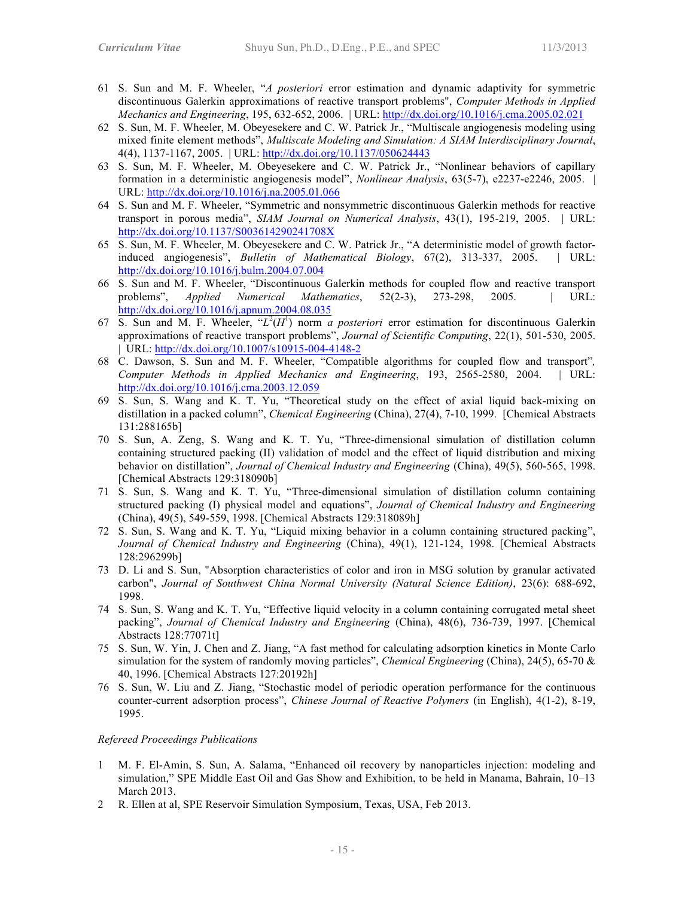- 61 S. Sun and M. F. Wheeler, "*A posteriori* error estimation and dynamic adaptivity for symmetric discontinuous Galerkin approximations of reactive transport problems", *Computer Methods in Applied Mechanics and Engineering*, 195, 632-652, 2006. | URL: http://dx.doi.org/10.1016/j.cma.2005.02.021
- 62 S. Sun, M. F. Wheeler, M. Obeyesekere and C. W. Patrick Jr., "Multiscale angiogenesis modeling using mixed finite element methods", *Multiscale Modeling and Simulation: A SIAM Interdisciplinary Journal*, 4(4), 1137-1167, 2005. | URL: http://dx.doi.org/10.1137/050624443
- 63 S. Sun, M. F. Wheeler, M. Obeyesekere and C. W. Patrick Jr., "Nonlinear behaviors of capillary formation in a deterministic angiogenesis model", *Nonlinear Analysis*, 63(5-7), e2237-e2246, 2005. | URL: http://dx.doi.org/10.1016/j.na.2005.01.066
- 64 S. Sun and M. F. Wheeler, "Symmetric and nonsymmetric discontinuous Galerkin methods for reactive transport in porous media", *SIAM Journal on Numerical Analysis*, 43(1), 195-219, 2005. | URL: http://dx.doi.org/10.1137/S003614290241708X
- 65 S. Sun, M. F. Wheeler, M. Obeyesekere and C. W. Patrick Jr., "A deterministic model of growth factorinduced angiogenesis", *Bulletin of Mathematical Biology*, 67(2), 313-337, 2005. | URL: http://dx.doi.org/10.1016/j.bulm.2004.07.004
- 66 S. Sun and M. F. Wheeler, "Discontinuous Galerkin methods for coupled flow and reactive transport problems", *Applied Numerical Mathematics*, 52(2-3), 273-298, 2005. | URL: http://dx.doi.org/10.1016/j.apnum.2004.08.035
- 67 S. Sun and M. F. Wheeler,  $H^2(H^1)$  norm *a posteriori* error estimation for discontinuous Galerkin approximations of reactive transport problems", *Journal of Scientific Computing*, 22(1), 501-530, 2005. | URL: http://dx.doi.org/10.1007/s10915-004-4148-2
- 68 C. Dawson, S. Sun and M. F. Wheeler, "Compatible algorithms for coupled flow and transport"*, Computer Methods in Applied Mechanics and Engineering*, 193, 2565-2580, 2004. | URL: http://dx.doi.org/10.1016/j.cma.2003.12.059
- 69 S. Sun, S. Wang and K. T. Yu, "Theoretical study on the effect of axial liquid back-mixing on distillation in a packed column", *Chemical Engineering* (China), 27(4), 7-10, 1999. [Chemical Abstracts 131:288165b]
- 70 S. Sun, A. Zeng, S. Wang and K. T. Yu, "Three-dimensional simulation of distillation column containing structured packing (II) validation of model and the effect of liquid distribution and mixing behavior on distillation", *Journal of Chemical Industry and Engineering* (China), 49(5), 560-565, 1998. [Chemical Abstracts 129:318090b]
- 71 S. Sun, S. Wang and K. T. Yu, "Three-dimensional simulation of distillation column containing structured packing (I) physical model and equations", *Journal of Chemical Industry and Engineering* (China), 49(5), 549-559, 1998. [Chemical Abstracts 129:318089h]
- 72 S. Sun, S. Wang and K. T. Yu, "Liquid mixing behavior in a column containing structured packing", *Journal of Chemical Industry and Engineering* (China), 49(1), 121-124, 1998. [Chemical Abstracts 128:296299b]
- 73 D. Li and S. Sun, "Absorption characteristics of color and iron in MSG solution by granular activated carbon", *Journal of Southwest China Normal University (Natural Science Edition)*, 23(6): 688-692, 1998.
- 74 S. Sun, S. Wang and K. T. Yu, "Effective liquid velocity in a column containing corrugated metal sheet packing", *Journal of Chemical Industry and Engineering* (China), 48(6), 736-739, 1997. [Chemical Abstracts 128:77071t]
- 75 S. Sun, W. Yin, J. Chen and Z. Jiang, "A fast method for calculating adsorption kinetics in Monte Carlo simulation for the system of randomly moving particles", *Chemical Engineering* (China), 24(5), 65-70 & 40, 1996. [Chemical Abstracts 127:20192h]
- 76 S. Sun, W. Liu and Z. Jiang, "Stochastic model of periodic operation performance for the continuous counter-current adsorption process", *Chinese Journal of Reactive Polymers* (in English), 4(1-2), 8-19, 1995.

### *Refereed Proceedings Publications*

- 1 M. F. El-Amin, S. Sun, A. Salama, "Enhanced oil recovery by nanoparticles injection: modeling and simulation," SPE Middle East Oil and Gas Show and Exhibition, to be held in Manama, Bahrain, 10–13 March 2013.
- 2 R. Ellen at al, SPE Reservoir Simulation Symposium, Texas, USA, Feb 2013.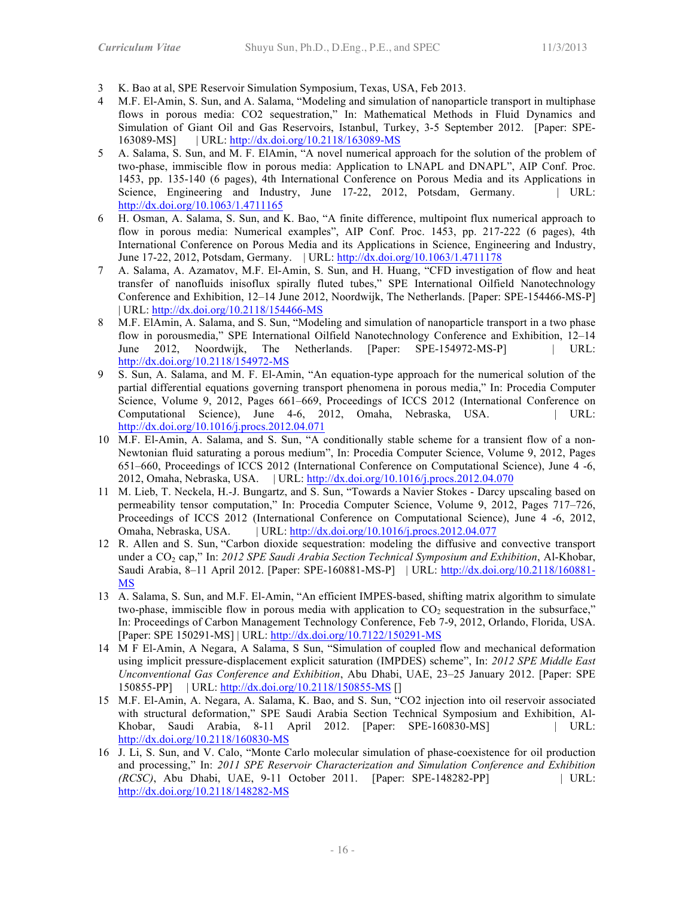- 3 K. Bao at al, SPE Reservoir Simulation Symposium, Texas, USA, Feb 2013.
- 4 M.F. El-Amin, S. Sun, and A. Salama, "Modeling and simulation of nanoparticle transport in multiphase flows in porous media: CO2 sequestration," In: Mathematical Methods in Fluid Dynamics and Simulation of Giant Oil and Gas Reservoirs, Istanbul, Turkey, 3-5 September 2012. [Paper: SPE-163089-MS] | URL: http://dx.doi.org/10.2118/163089-MS
- 5 A. Salama, S. Sun, and M. F. ElAmin, "A novel numerical approach for the solution of the problem of two-phase, immiscible flow in porous media: Application to LNAPL and DNAPL", AIP Conf. Proc. 1453, pp. 135-140 (6 pages), 4th International Conference on Porous Media and its Applications in Science, Engineering and Industry, June 17-22, 2012, Potsdam, Germany. | URL: http://dx.doi.org/10.1063/1.4711165
- 6 H. Osman, A. Salama, S. Sun, and K. Bao, "A finite difference, multipoint flux numerical approach to flow in porous media: Numerical examples", AIP Conf. Proc. 1453, pp. 217-222 (6 pages), 4th International Conference on Porous Media and its Applications in Science, Engineering and Industry, June 17-22, 2012, Potsdam, Germany. | URL: http://dx.doi.org/10.1063/1.4711178
- 7 A. Salama, A. Azamatov, M.F. El-Amin, S. Sun, and H. Huang, "CFD investigation of flow and heat transfer of nanofluids inisoflux spirally fluted tubes," SPE International Oilfield Nanotechnology Conference and Exhibition, 12–14 June 2012, Noordwijk, The Netherlands. [Paper: SPE-154466-MS-P] | URL: http://dx.doi.org/10.2118/154466-MS
- 8 M.F. ElAmin, A. Salama, and S. Sun, "Modeling and simulation of nanoparticle transport in a two phase flow in porousmedia," SPE International Oilfield Nanotechnology Conference and Exhibition, 12–14 June 2012, Noordwijk, The Netherlands. [Paper: SPE-154972-MS-P] | URL: http://dx.doi.org/10.2118/154972-MS
- 9 S. Sun, A. Salama, and M. F. El-Amin, "An equation-type approach for the numerical solution of the partial differential equations governing transport phenomena in porous media," In: Procedia Computer Science, Volume 9, 2012, Pages 661–669, Proceedings of ICCS 2012 (International Conference on Computational Science), June 4-6, 2012, Omaha, Nebraska, USA. | URL: http://dx.doi.org/10.1016/j.procs.2012.04.071
- 10 M.F. El-Amin, A. Salama, and S. Sun, "A conditionally stable scheme for a transient flow of a non-Newtonian fluid saturating a porous medium", In: Procedia Computer Science, Volume 9, 2012, Pages 651–660, Proceedings of ICCS 2012 (International Conference on Computational Science), June 4 -6, 2012, Omaha, Nebraska, USA. | URL: http://dx.doi.org/10.1016/j.procs.2012.04.070
- 11 M. Lieb, T. Neckela, H.-J. Bungartz, and S. Sun, "Towards a Navier Stokes Darcy upscaling based on permeability tensor computation," In: Procedia Computer Science, Volume 9, 2012, Pages 717–726, Proceedings of ICCS 2012 (International Conference on Computational Science), June 4 -6, 2012, Omaha, Nebraska, USA. | URL: http://dx.doi.org/10.1016/j.procs.2012.04.077
- 12 R. Allen and S. Sun, "Carbon dioxide sequestration: modeling the diffusive and convective transport under a CO<sub>2</sub> cap," In: 2012 SPE Saudi Arabia Section Technical Symposium and Exhibition, Al-Khobar, Saudi Arabia, 8–11 April 2012. [Paper: SPE-160881-MS-P] | URL: http://dx.doi.org/10.2118/160881- MS
- 13 A. Salama, S. Sun, and M.F. El-Amin, "An efficient IMPES-based, shifting matrix algorithm to simulate two-phase, immiscible flow in porous media with application to  $CO<sub>2</sub>$  sequestration in the subsurface," In: Proceedings of Carbon Management Technology Conference, Feb 7-9, 2012, Orlando, Florida, USA. [Paper: SPE 150291-MS] | URL: http://dx.doi.org/10.7122/150291-MS
- 14 M F El-Amin, A Negara, A Salama, S Sun, "Simulation of coupled flow and mechanical deformation using implicit pressure-displacement explicit saturation (IMPDES) scheme", In: *2012 SPE Middle East Unconventional Gas Conference and Exhibition*, Abu Dhabi, UAE, 23–25 January 2012. [Paper: SPE 150855-PP] | URL: http://dx.doi.org/10.2118/150855-MS []
- 15 M.F. El-Amin, A. Negara, A. Salama, K. Bao, and S. Sun, "CO2 injection into oil reservoir associated with structural deformation," SPE Saudi Arabia Section Technical Symposium and Exhibition, Al-Khobar, Saudi Arabia, 8-11 April 2012. [Paper: SPE-160830-MS] | URL: http://dx.doi.org/10.2118/160830-MS
- 16 J. Li, S. Sun, and V. Calo, "Monte Carlo molecular simulation of phase-coexistence for oil production and processing," In: *2011 SPE Reservoir Characterization and Simulation Conference and Exhibition (RCSC)*, Abu Dhabi, UAE, 9-11 October 2011. [Paper: SPE-148282-PP] | URL: http://dx.doi.org/10.2118/148282-MS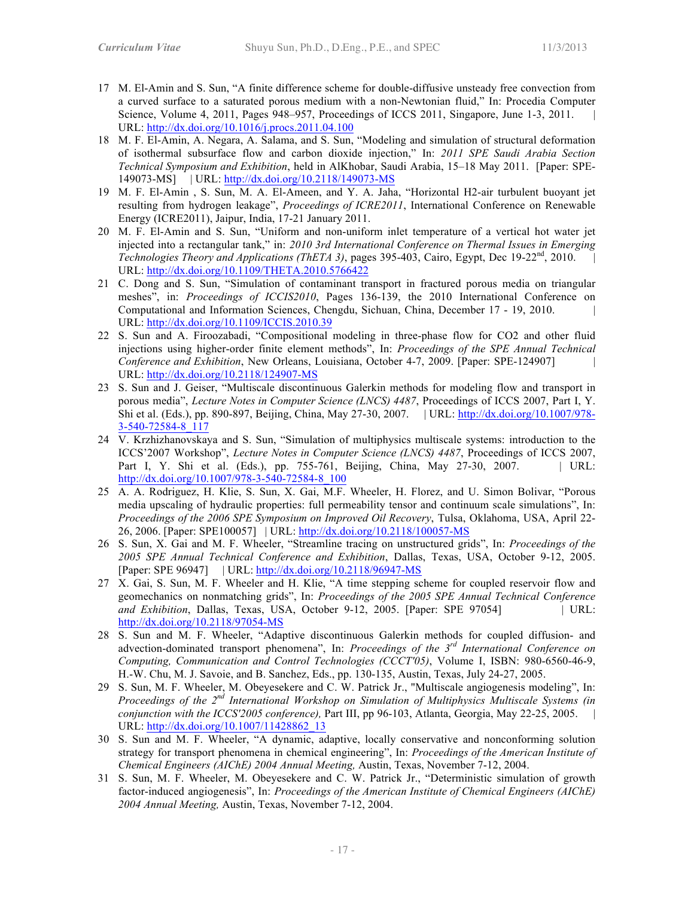- 17 M. El-Amin and S. Sun, "A finite difference scheme for double-diffusive unsteady free convection from a curved surface to a saturated porous medium with a non-Newtonian fluid," In: Procedia Computer Science, Volume 4, 2011, Pages 948–957, Proceedings of ICCS 2011, Singapore, June 1-3, 2011. URL: http://dx.doi.org/10.1016/j.procs.2011.04.100
- 18 M. F. El-Amin, A. Negara, A. Salama, and S. Sun, "Modeling and simulation of structural deformation of isothermal subsurface flow and carbon dioxide injection," In: *2011 SPE Saudi Arabia Section Technical Symposium and Exhibition*, held in AlKhobar, Saudi Arabia, 15–18 May 2011. [Paper: SPE-149073-MS] | URL: http://dx.doi.org/10.2118/149073-MS
- 19 M. F. El-Amin , S. Sun, M. A. El-Ameen, and Y. A. Jaha, "Horizontal H2-air turbulent buoyant jet resulting from hydrogen leakage", *Proceedings of ICRE2011*, International Conference on Renewable Energy (ICRE2011), Jaipur, India, 17-21 January 2011.
- 20 M. F. El-Amin and S. Sun, "Uniform and non-uniform inlet temperature of a vertical hot water jet injected into a rectangular tank," in: *2010 3rd International Conference on Thermal Issues in Emerging Technologies Theory and Applications (ThETA 3)*, pages 395-403, Cairo, Egypt, Dec 19-22nd, 2010. | URL: http://dx.doi.org/10.1109/THETA.2010.5766422
- 21 C. Dong and S. Sun, "Simulation of contaminant transport in fractured porous media on triangular meshes", in: *Proceedings of ICCIS2010*, Pages 136-139, the 2010 International Conference on Computational and Information Sciences, Chengdu, Sichuan, China, December 17 - 19, 2010. | URL: http://dx.doi.org/10.1109/ICCIS.2010.39
- 22 S. Sun and A. Firoozabadi, "Compositional modeling in three-phase flow for CO2 and other fluid injections using higher-order finite element methods", In: *Proceedings of the SPE Annual Technical Conference and Exhibition*, New Orleans, Louisiana, October 4-7, 2009. [Paper: SPE-124907] | URL: http://dx.doi.org/10.2118/124907-MS
- 23 S. Sun and J. Geiser, "Multiscale discontinuous Galerkin methods for modeling flow and transport in porous media", *Lecture Notes in Computer Science (LNCS) 4487*, Proceedings of ICCS 2007, Part I, Y. Shi et al. (Eds.), pp. 890-897, Beijing, China, May 27-30, 2007. | URL: http://dx.doi.org/10.1007/978- 3-540-72584-8\_117
- 24 V. Krzhizhanovskaya and S. Sun, "Simulation of multiphysics multiscale systems: introduction to the ICCS'2007 Workshop", *Lecture Notes in Computer Science (LNCS) 4487*, Proceedings of ICCS 2007, Part I, Y. Shi et al. (Eds.), pp. 755-761, Beijing, China, May 27-30, 2007. | URL: http://dx.doi.org/10.1007/978-3-540-72584-8\_100
- 25 A. A. Rodriguez, H. Klie, S. Sun, X. Gai, M.F. Wheeler, H. Florez, and U. Simon Bolivar, "Porous media upscaling of hydraulic properties: full permeability tensor and continuum scale simulations", In: *Proceedings of the 2006 SPE Symposium on Improved Oil Recovery*, Tulsa, Oklahoma, USA, April 22- 26, 2006. [Paper: SPE100057] | URL: http://dx.doi.org/10.2118/100057-MS
- 26 S. Sun, X. Gai and M. F. Wheeler, "Streamline tracing on unstructured grids", In: *Proceedings of the 2005 SPE Annual Technical Conference and Exhibition*, Dallas, Texas, USA, October 9-12, 2005. [Paper: SPE 96947] | URL: http://dx.doi.org/10.2118/96947-MS
- 27 X. Gai, S. Sun, M. F. Wheeler and H. Klie, "A time stepping scheme for coupled reservoir flow and geomechanics on nonmatching grids", In: *Proceedings of the 2005 SPE Annual Technical Conference and Exhibition*, Dallas, Texas, USA, October 9-12, 2005. [Paper: SPE 97054] | URL: http://dx.doi.org/10.2118/97054-MS
- 28 S. Sun and M. F. Wheeler, "Adaptive discontinuous Galerkin methods for coupled diffusion- and advection-dominated transport phenomena", In: *Proceedings of the 3rd International Conference on Computing, Communication and Control Technologies (CCCT'05)*, Volume I, ISBN: 980-6560-46-9, H.-W. Chu, M. J. Savoie, and B. Sanchez, Eds., pp. 130-135, Austin, Texas, July 24-27, 2005.
- 29 S. Sun, M. F. Wheeler, M. Obeyesekere and C. W. Patrick Jr., "Multiscale angiogenesis modeling", In: *Proceedings of the 2nd International Workshop on Simulation of Multiphysics Multiscale Systems (in conjunction with the ICCS'2005 conference*), Part III, pp 96-103, Atlanta, Georgia, May 22-25, 2005. URL: http://dx.doi.org/10.1007/11428862\_13
- 30 S. Sun and M. F. Wheeler, "A dynamic, adaptive, locally conservative and nonconforming solution strategy for transport phenomena in chemical engineering", In: *Proceedings of the American Institute of Chemical Engineers (AIChE) 2004 Annual Meeting,* Austin, Texas, November 7-12, 2004.
- 31 S. Sun, M. F. Wheeler, M. Obeyesekere and C. W. Patrick Jr., "Deterministic simulation of growth factor-induced angiogenesis", In: *Proceedings of the American Institute of Chemical Engineers (AIChE) 2004 Annual Meeting,* Austin, Texas, November 7-12, 2004.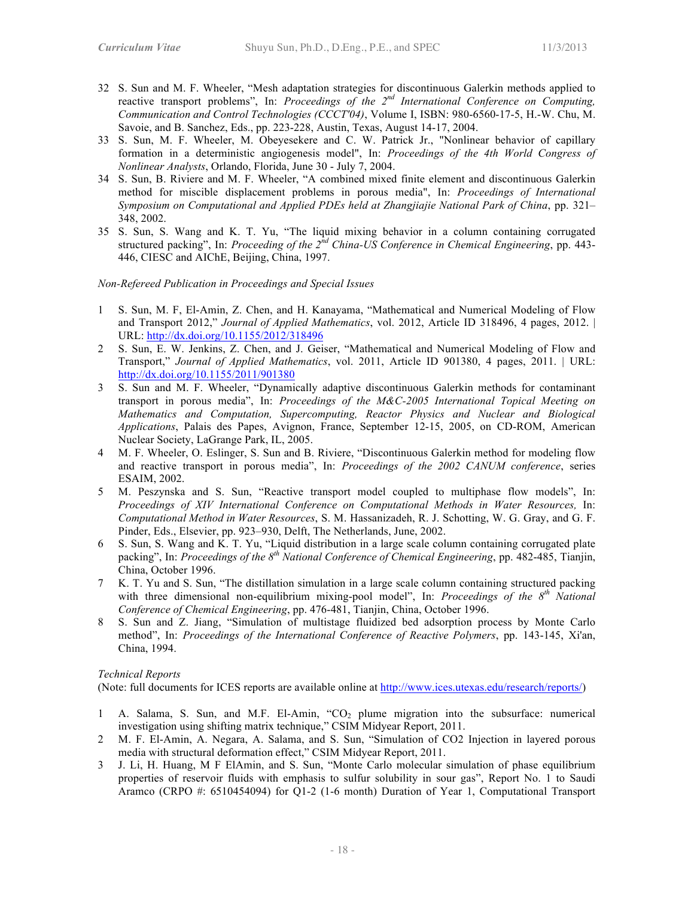- 32 S. Sun and M. F. Wheeler, "Mesh adaptation strategies for discontinuous Galerkin methods applied to reactive transport problems", In: *Proceedings of the 2nd International Conference on Computing, Communication and Control Technologies (CCCT'04)*, Volume I, ISBN: 980-6560-17-5, H.-W. Chu, M. Savoie, and B. Sanchez, Eds., pp. 223-228, Austin, Texas, August 14-17, 2004.
- 33 S. Sun, M. F. Wheeler, M. Obeyesekere and C. W. Patrick Jr., "Nonlinear behavior of capillary formation in a deterministic angiogenesis model", In: *Proceedings of the 4th World Congress of Nonlinear Analysts*, Orlando, Florida, June 30 - July 7, 2004.
- 34 S. Sun, B. Riviere and M. F. Wheeler, "A combined mixed finite element and discontinuous Galerkin method for miscible displacement problems in porous media", In: *Proceedings of International Symposium on Computational and Applied PDEs held at Zhangjiajie National Park of China*, pp. 321– 348, 2002.
- 35 S. Sun, S. Wang and K. T. Yu, "The liquid mixing behavior in a column containing corrugated structured packing", In: *Proceeding of the 2nd China-US Conference in Chemical Engineering*, pp. 443- 446, CIESC and AIChE, Beijing, China, 1997.

#### *Non-Refereed Publication in Proceedings and Special Issues*

- 1 S. Sun, M. F, El-Amin, Z. Chen, and H. Kanayama, "Mathematical and Numerical Modeling of Flow and Transport 2012," *Journal of Applied Mathematics*, vol. 2012, Article ID 318496, 4 pages, 2012. | URL: http://dx.doi.org/10.1155/2012/318496
- 2 S. Sun, E. W. Jenkins, Z. Chen, and J. Geiser, "Mathematical and Numerical Modeling of Flow and Transport," *Journal of Applied Mathematics*, vol. 2011, Article ID 901380, 4 pages, 2011. | URL: http://dx.doi.org/10.1155/2011/901380
- 3 S. Sun and M. F. Wheeler, "Dynamically adaptive discontinuous Galerkin methods for contaminant transport in porous media", In: *Proceedings of the M&C-2005 International Topical Meeting on Mathematics and Computation, Supercomputing, Reactor Physics and Nuclear and Biological Applications*, Palais des Papes, Avignon, France, September 12-15, 2005, on CD-ROM, American Nuclear Society, LaGrange Park, IL, 2005.
- 4 M. F. Wheeler, O. Eslinger, S. Sun and B. Riviere, "Discontinuous Galerkin method for modeling flow and reactive transport in porous media", In: *Proceedings of the 2002 CANUM conference*, series ESAIM, 2002.
- 5 M. Peszynska and S. Sun, "Reactive transport model coupled to multiphase flow models", In: *Proceedings of XIV International Conference on Computational Methods in Water Resources,* In: *Computational Method in Water Resources*, S. M. Hassanizadeh, R. J. Schotting, W. G. Gray, and G. F. Pinder, Eds., Elsevier, pp. 923–930, Delft, The Netherlands, June, 2002.
- 6 S. Sun, S. Wang and K. T. Yu, "Liquid distribution in a large scale column containing corrugated plate packing", In: *Proceedings of the 8th National Conference of Chemical Engineering*, pp. 482-485, Tianjin, China, October 1996.
- 7 K. T. Yu and S. Sun, "The distillation simulation in a large scale column containing structured packing with three dimensional non-equilibrium mixing-pool model", In: *Proceedings of the 8<sup>th</sup> National Conference of Chemical Engineering*, pp. 476-481, Tianjin, China, October 1996.
- 8 S. Sun and Z. Jiang, "Simulation of multistage fluidized bed adsorption process by Monte Carlo method", In: *Proceedings of the International Conference of Reactive Polymers*, pp. 143-145, Xi'an, China, 1994.

#### *Technical Reports*

(Note: full documents for ICES reports are available online at http://www.ices.utexas.edu/research/reports/)

- 1 A. Salama, S. Sun, and M.F. El-Amin, "CO2 plume migration into the subsurface: numerical investigation using shifting matrix technique," CSIM Midyear Report, 2011.
- 2 M. F. El-Amin, A. Negara, A. Salama, and S. Sun, "Simulation of CO2 Injection in layered porous media with structural deformation effect," CSIM Midyear Report, 2011.
- 3 J. Li, H. Huang, M F ElAmin, and S. Sun, "Monte Carlo molecular simulation of phase equilibrium properties of reservoir fluids with emphasis to sulfur solubility in sour gas", Report No. 1 to Saudi Aramco (CRPO #: 6510454094) for Q1-2 (1-6 month) Duration of Year 1, Computational Transport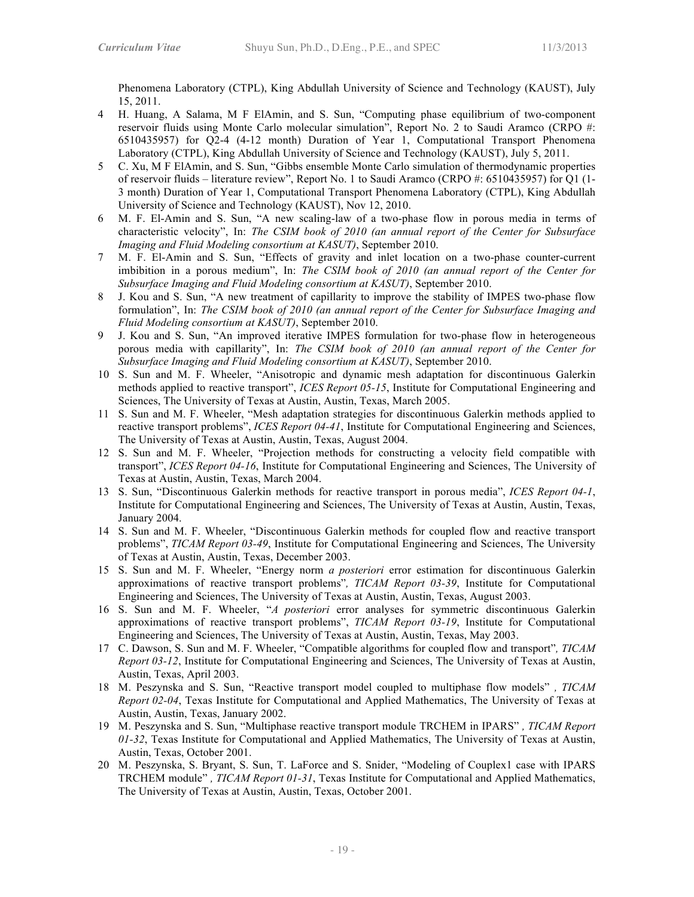Phenomena Laboratory (CTPL), King Abdullah University of Science and Technology (KAUST), July 15, 2011.

- 4 H. Huang, A Salama, M F ElAmin, and S. Sun, "Computing phase equilibrium of two-component reservoir fluids using Monte Carlo molecular simulation", Report No. 2 to Saudi Aramco (CRPO #: 6510435957) for Q2-4 (4-12 month) Duration of Year 1, Computational Transport Phenomena Laboratory (CTPL), King Abdullah University of Science and Technology (KAUST), July 5, 2011.
- 5 C. Xu, M F ElAmin, and S. Sun, "Gibbs ensemble Monte Carlo simulation of thermodynamic properties of reservoir fluids – literature review", Report No. 1 to Saudi Aramco (CRPO #: 6510435957) for Q1 (1- 3 month) Duration of Year 1, Computational Transport Phenomena Laboratory (CTPL), King Abdullah University of Science and Technology (KAUST), Nov 12, 2010.
- 6 M. F. El-Amin and S. Sun, "A new scaling-law of a two-phase flow in porous media in terms of characteristic velocity", In: *The CSIM book of 2010 (an annual report of the Center for Subsurface Imaging and Fluid Modeling consortium at KASUT)*, September 2010.
- 7 M. F. El-Amin and S. Sun, "Effects of gravity and inlet location on a two-phase counter-current imbibition in a porous medium", In: *The CSIM book of 2010 (an annual report of the Center for Subsurface Imaging and Fluid Modeling consortium at KASUT)*, September 2010.
- 8 J. Kou and S. Sun, "A new treatment of capillarity to improve the stability of IMPES two-phase flow formulation", In: *The CSIM book of 2010 (an annual report of the Center for Subsurface Imaging and Fluid Modeling consortium at KASUT)*, September 2010.
- 9 J. Kou and S. Sun, "An improved iterative IMPES formulation for two-phase flow in heterogeneous porous media with capillarity", In: *The CSIM book of 2010 (an annual report of the Center for Subsurface Imaging and Fluid Modeling consortium at KASUT)*, September 2010.
- 10 S. Sun and M. F. Wheeler, "Anisotropic and dynamic mesh adaptation for discontinuous Galerkin methods applied to reactive transport", *ICES Report 05-15*, Institute for Computational Engineering and Sciences, The University of Texas at Austin, Austin, Texas, March 2005.
- 11 S. Sun and M. F. Wheeler, "Mesh adaptation strategies for discontinuous Galerkin methods applied to reactive transport problems", *ICES Report 04-41*, Institute for Computational Engineering and Sciences, The University of Texas at Austin, Austin, Texas, August 2004.
- 12 S. Sun and M. F. Wheeler, "Projection methods for constructing a velocity field compatible with transport", *ICES Report 04-16*, Institute for Computational Engineering and Sciences, The University of Texas at Austin, Austin, Texas, March 2004.
- 13 S. Sun, "Discontinuous Galerkin methods for reactive transport in porous media", *ICES Report 04-1*, Institute for Computational Engineering and Sciences, The University of Texas at Austin, Austin, Texas, January 2004.
- 14 S. Sun and M. F. Wheeler, "Discontinuous Galerkin methods for coupled flow and reactive transport problems", *TICAM Report 03-49*, Institute for Computational Engineering and Sciences, The University of Texas at Austin, Austin, Texas, December 2003.
- 15 S. Sun and M. F. Wheeler, "Energy norm *a posteriori* error estimation for discontinuous Galerkin approximations of reactive transport problems"*, TICAM Report 03-39*, Institute for Computational Engineering and Sciences, The University of Texas at Austin, Austin, Texas, August 2003.
- 16 S. Sun and M. F. Wheeler, "*A posteriori* error analyses for symmetric discontinuous Galerkin approximations of reactive transport problems", *TICAM Report 03-19*, Institute for Computational Engineering and Sciences, The University of Texas at Austin, Austin, Texas, May 2003.
- 17 C. Dawson, S. Sun and M. F. Wheeler, "Compatible algorithms for coupled flow and transport"*, TICAM Report 03-12*, Institute for Computational Engineering and Sciences, The University of Texas at Austin, Austin, Texas, April 2003.
- 18 M. Peszynska and S. Sun, "Reactive transport model coupled to multiphase flow models" *, TICAM Report 02-04*, Texas Institute for Computational and Applied Mathematics, The University of Texas at Austin, Austin, Texas, January 2002.
- 19 M. Peszynska and S. Sun, "Multiphase reactive transport module TRCHEM in IPARS" *, TICAM Report 01-32*, Texas Institute for Computational and Applied Mathematics, The University of Texas at Austin, Austin, Texas, October 2001.
- 20 M. Peszynska, S. Bryant, S. Sun, T. LaForce and S. Snider, "Modeling of Couplex1 case with IPARS TRCHEM module" *, TICAM Report 01-31*, Texas Institute for Computational and Applied Mathematics, The University of Texas at Austin, Austin, Texas, October 2001.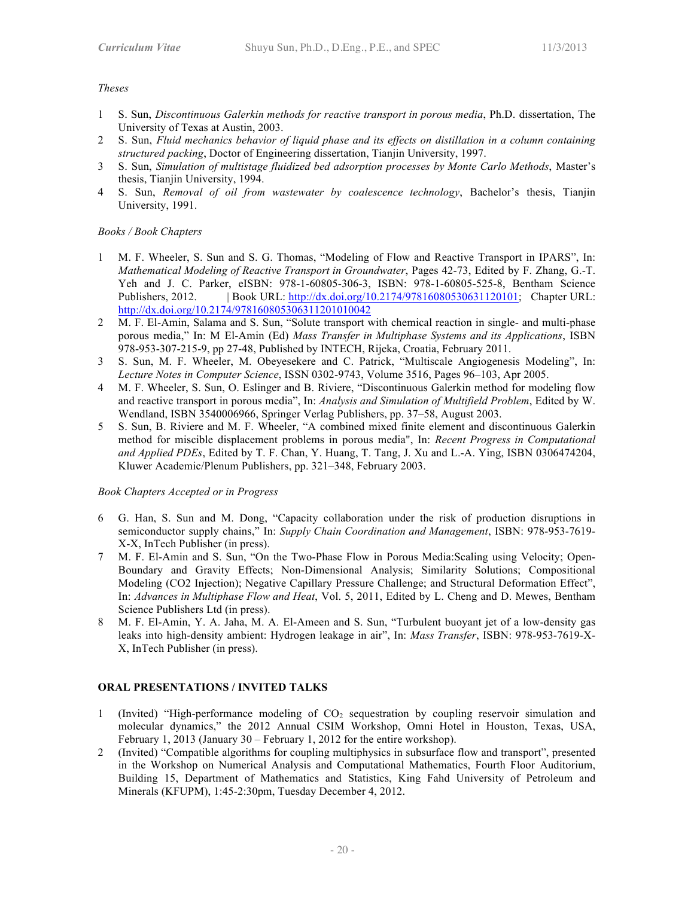### *Theses*

- 1 S. Sun, *Discontinuous Galerkin methods for reactive transport in porous media*, Ph.D. dissertation, The University of Texas at Austin, 2003.
- 2 S. Sun, *Fluid mechanics behavior of liquid phase and its effects on distillation in a column containing structured packing*, Doctor of Engineering dissertation, Tianjin University, 1997.
- 3 S. Sun, *Simulation of multistage fluidized bed adsorption processes by Monte Carlo Methods*, Master's thesis, Tianjin University, 1994.
- 4 S. Sun, *Removal of oil from wastewater by coalescence technology*, Bachelor's thesis, Tianjin University, 1991.

## *Books / Book Chapters*

- 1 M. F. Wheeler, S. Sun and S. G. Thomas, "Modeling of Flow and Reactive Transport in IPARS", In: *Mathematical Modeling of Reactive Transport in Groundwater*, Pages 42-73, Edited by F. Zhang, G.-T. Yeh and J. C. Parker, eISBN: 978-1-60805-306-3, ISBN: 978-1-60805-525-8, Bentham Science Publishers, 2012. | Book URL: http://dx.doi.org/10.2174/97816080530631120101; Chapter URL: http://dx.doi.org/10.2174/978160805306311201010042
- 2 M. F. El-Amin, Salama and S. Sun, "Solute transport with chemical reaction in single- and multi-phase porous media," In: M El-Amin (Ed) *Mass Transfer in Multiphase Systems and its Applications*, ISBN 978-953-307-215-9, pp 27-48, Published by INTECH, Rijeka, Croatia, February 2011.
- 3 S. Sun, M. F. Wheeler, M. Obeyesekere and C. Patrick, "Multiscale Angiogenesis Modeling", In: *Lecture Notes in Computer Science*, ISSN 0302-9743, Volume 3516, Pages 96–103, Apr 2005.
- 4 M. F. Wheeler, S. Sun, O. Eslinger and B. Riviere, "Discontinuous Galerkin method for modeling flow and reactive transport in porous media", In: *Analysis and Simulation of Multifield Problem*, Edited by W. Wendland, ISBN 3540006966, Springer Verlag Publishers, pp. 37–58, August 2003.
- 5 S. Sun, B. Riviere and M. F. Wheeler, "A combined mixed finite element and discontinuous Galerkin method for miscible displacement problems in porous media", In: *Recent Progress in Computational and Applied PDEs*, Edited by T. F. Chan, Y. Huang, T. Tang, J. Xu and L.-A. Ying, ISBN 0306474204, Kluwer Academic/Plenum Publishers, pp. 321–348, February 2003.

## *Book Chapters Accepted or in Progress*

- 6 G. Han, S. Sun and M. Dong, "Capacity collaboration under the risk of production disruptions in semiconductor supply chains," In: *Supply Chain Coordination and Management*, ISBN: 978-953-7619- X-X, InTech Publisher (in press).
- 7 M. F. El-Amin and S. Sun, "On the Two-Phase Flow in Porous Media:Scaling using Velocity; Open-Boundary and Gravity Effects; Non-Dimensional Analysis; Similarity Solutions; Compositional Modeling (CO2 Injection); Negative Capillary Pressure Challenge; and Structural Deformation Effect", In: *Advances in Multiphase Flow and Heat*, Vol. 5, 2011, Edited by L. Cheng and D. Mewes, Bentham Science Publishers Ltd (in press).
- 8 M. F. El-Amin, Y. A. Jaha, M. A. El-Ameen and S. Sun, "Turbulent buoyant jet of a low-density gas leaks into high-density ambient: Hydrogen leakage in air", In: *Mass Transfer*, ISBN: 978-953-7619-X-X, InTech Publisher (in press).

## **ORAL PRESENTATIONS / INVITED TALKS**

- 1 (Invited) "High-performance modeling of CO2 sequestration by coupling reservoir simulation and molecular dynamics," the 2012 Annual CSIM Workshop, Omni Hotel in Houston, Texas, USA, February 1, 2013 (January 30 – February 1, 2012 for the entire workshop).
- 2 (Invited) "Compatible algorithms for coupling multiphysics in subsurface flow and transport", presented in the Workshop on Numerical Analysis and Computational Mathematics, Fourth Floor Auditorium, Building 15, Department of Mathematics and Statistics, King Fahd University of Petroleum and Minerals (KFUPM), 1:45-2:30pm, Tuesday December 4, 2012.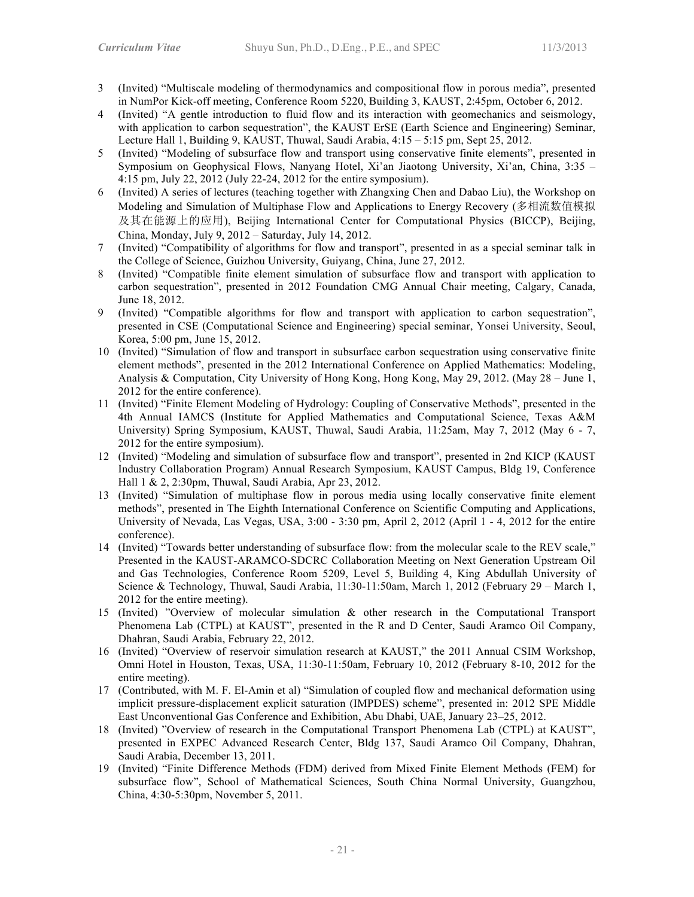- 3 (Invited) "Multiscale modeling of thermodynamics and compositional flow in porous media", presented in NumPor Kick-off meeting, Conference Room 5220, Building 3, KAUST, 2:45pm, October 6, 2012.
- 4 (Invited) "A gentle introduction to fluid flow and its interaction with geomechanics and seismology, with application to carbon sequestration", the KAUST ErSE (Earth Science and Engineering) Seminar, Lecture Hall 1, Building 9, KAUST, Thuwal, Saudi Arabia, 4:15 – 5:15 pm, Sept 25, 2012.
- 5 (Invited) "Modeling of subsurface flow and transport using conservative finite elements", presented in Symposium on Geophysical Flows, Nanyang Hotel, Xi'an Jiaotong University, Xi'an, China, 3:35 – 4:15 pm, July 22, 2012 (July 22-24, 2012 for the entire symposium).
- 6 (Invited) A series of lectures (teaching together with Zhangxing Chen and Dabao Liu), the Workshop on Modeling and Simulation of Multiphase Flow and Applications to Energy Recovery (多相流数值模拟 及其在能源上的应用), Beijing International Center for Computational Physics (BICCP), Beijing, China, Monday, July 9, 2012 – Saturday, July 14, 2012.
- 7 (Invited) "Compatibility of algorithms for flow and transport", presented in as a special seminar talk in the College of Science, Guizhou University, Guiyang, China, June 27, 2012.
- 8 (Invited) "Compatible finite element simulation of subsurface flow and transport with application to carbon sequestration", presented in 2012 Foundation CMG Annual Chair meeting, Calgary, Canada, June 18, 2012.
- 9 (Invited) "Compatible algorithms for flow and transport with application to carbon sequestration", presented in CSE (Computational Science and Engineering) special seminar, Yonsei University, Seoul, Korea, 5:00 pm, June 15, 2012.
- 10 (Invited) "Simulation of flow and transport in subsurface carbon sequestration using conservative finite element methods", presented in the 2012 International Conference on Applied Mathematics: Modeling, Analysis & Computation, City University of Hong Kong, Hong Kong, May 29, 2012. (May 28 – June 1, 2012 for the entire conference).
- 11 (Invited) "Finite Element Modeling of Hydrology: Coupling of Conservative Methods", presented in the 4th Annual IAMCS (Institute for Applied Mathematics and Computational Science, Texas A&M University) Spring Symposium, KAUST, Thuwal, Saudi Arabia, 11:25am, May 7, 2012 (May 6 - 7, 2012 for the entire symposium).
- 12 (Invited) "Modeling and simulation of subsurface flow and transport", presented in 2nd KICP (KAUST Industry Collaboration Program) Annual Research Symposium, KAUST Campus, Bldg 19, Conference Hall 1 & 2, 2:30pm, Thuwal, Saudi Arabia, Apr 23, 2012.
- 13 (Invited) "Simulation of multiphase flow in porous media using locally conservative finite element methods", presented in The Eighth International Conference on Scientific Computing and Applications, University of Nevada, Las Vegas, USA, 3:00 - 3:30 pm, April 2, 2012 (April 1 - 4, 2012 for the entire conference).
- 14 (Invited) "Towards better understanding of subsurface flow: from the molecular scale to the REV scale," Presented in the KAUST-ARAMCO-SDCRC Collaboration Meeting on Next Generation Upstream Oil and Gas Technologies, Conference Room 5209, Level 5, Building 4, King Abdullah University of Science & Technology, Thuwal, Saudi Arabia, 11:30-11:50am, March 1, 2012 (February 29 – March 1, 2012 for the entire meeting).
- 15 (Invited) "Overview of molecular simulation & other research in the Computational Transport Phenomena Lab (CTPL) at KAUST", presented in the R and D Center, Saudi Aramco Oil Company, Dhahran, Saudi Arabia, February 22, 2012.
- 16 (Invited) "Overview of reservoir simulation research at KAUST," the 2011 Annual CSIM Workshop, Omni Hotel in Houston, Texas, USA, 11:30-11:50am, February 10, 2012 (February 8-10, 2012 for the entire meeting).
- 17 (Contributed, with M. F. El-Amin et al) "Simulation of coupled flow and mechanical deformation using implicit pressure-displacement explicit saturation (IMPDES) scheme", presented in: 2012 SPE Middle East Unconventional Gas Conference and Exhibition, Abu Dhabi, UAE, January 23–25, 2012.
- 18 (Invited) "Overview of research in the Computational Transport Phenomena Lab (CTPL) at KAUST", presented in EXPEC Advanced Research Center, Bldg 137, Saudi Aramco Oil Company, Dhahran, Saudi Arabia, December 13, 2011.
- 19 (Invited) "Finite Difference Methods (FDM) derived from Mixed Finite Element Methods (FEM) for subsurface flow", School of Mathematical Sciences, South China Normal University, Guangzhou, China, 4:30-5:30pm, November 5, 2011.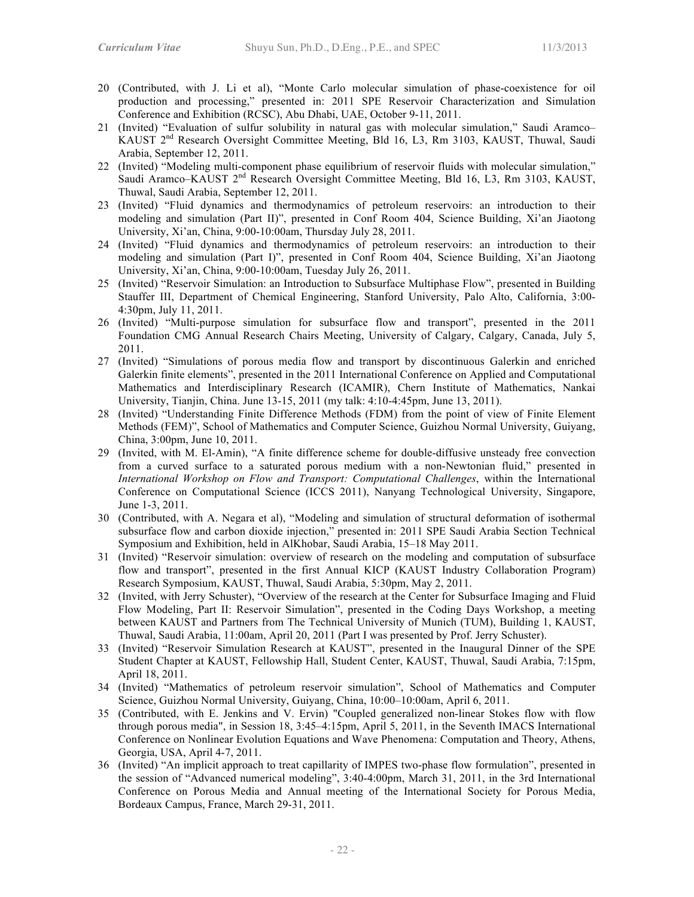- 20 (Contributed, with J. Li et al), "Monte Carlo molecular simulation of phase-coexistence for oil production and processing," presented in: 2011 SPE Reservoir Characterization and Simulation Conference and Exhibition (RCSC), Abu Dhabi, UAE, October 9-11, 2011.
- 21 (Invited) "Evaluation of sulfur solubility in natural gas with molecular simulation," Saudi Aramco– KAUST 2nd Research Oversight Committee Meeting, Bld 16, L3, Rm 3103, KAUST, Thuwal, Saudi Arabia, September 12, 2011.
- 22 (Invited) "Modeling multi-component phase equilibrium of reservoir fluids with molecular simulation," Saudi Aramco–KAUST 2<sup>nd</sup> Research Oversight Committee Meeting, Bld 16, L3, Rm 3103, KAUST, Thuwal, Saudi Arabia, September 12, 2011.
- 23 (Invited) "Fluid dynamics and thermodynamics of petroleum reservoirs: an introduction to their modeling and simulation (Part II)", presented in Conf Room 404, Science Building, Xi'an Jiaotong University, Xi'an, China, 9:00-10:00am, Thursday July 28, 2011.
- 24 (Invited) "Fluid dynamics and thermodynamics of petroleum reservoirs: an introduction to their modeling and simulation (Part I)", presented in Conf Room 404, Science Building, Xi'an Jiaotong University, Xi'an, China, 9:00-10:00am, Tuesday July 26, 2011.
- 25 (Invited) "Reservoir Simulation: an Introduction to Subsurface Multiphase Flow", presented in Building Stauffer III, Department of Chemical Engineering, Stanford University, Palo Alto, California, 3:00- 4:30pm, July 11, 2011.
- 26 (Invited) "Multi-purpose simulation for subsurface flow and transport", presented in the 2011 Foundation CMG Annual Research Chairs Meeting, University of Calgary, Calgary, Canada, July 5, 2011.
- 27 (Invited) "Simulations of porous media flow and transport by discontinuous Galerkin and enriched Galerkin finite elements", presented in the 2011 International Conference on Applied and Computational Mathematics and Interdisciplinary Research (ICAMIR), Chern Institute of Mathematics, Nankai University, Tianjin, China. June 13-15, 2011 (my talk: 4:10-4:45pm, June 13, 2011).
- 28 (Invited) "Understanding Finite Difference Methods (FDM) from the point of view of Finite Element Methods (FEM)", School of Mathematics and Computer Science, Guizhou Normal University, Guiyang, China, 3:00pm, June 10, 2011.
- 29 (Invited, with M. El-Amin), "A finite difference scheme for double-diffusive unsteady free convection from a curved surface to a saturated porous medium with a non-Newtonian fluid," presented in *International Workshop on Flow and Transport: Computational Challenges*, within the International Conference on Computational Science (ICCS 2011), Nanyang Technological University, Singapore, June 1-3, 2011.
- 30 (Contributed, with A. Negara et al), "Modeling and simulation of structural deformation of isothermal subsurface flow and carbon dioxide injection," presented in: 2011 SPE Saudi Arabia Section Technical Symposium and Exhibition, held in AlKhobar, Saudi Arabia, 15–18 May 2011.
- 31 (Invited) "Reservoir simulation: overview of research on the modeling and computation of subsurface flow and transport", presented in the first Annual KICP (KAUST Industry Collaboration Program) Research Symposium, KAUST, Thuwal, Saudi Arabia, 5:30pm, May 2, 2011.
- 32 (Invited, with Jerry Schuster), "Overview of the research at the Center for Subsurface Imaging and Fluid Flow Modeling, Part II: Reservoir Simulation", presented in the Coding Days Workshop, a meeting between KAUST and Partners from The Technical University of Munich (TUM), Building 1, KAUST, Thuwal, Saudi Arabia, 11:00am, April 20, 2011 (Part I was presented by Prof. Jerry Schuster).
- 33 (Invited) "Reservoir Simulation Research at KAUST", presented in the Inaugural Dinner of the SPE Student Chapter at KAUST, Fellowship Hall, Student Center, KAUST, Thuwal, Saudi Arabia, 7:15pm, April 18, 2011.
- 34 (Invited) "Mathematics of petroleum reservoir simulation", School of Mathematics and Computer Science, Guizhou Normal University, Guiyang, China, 10:00–10:00am, April 6, 2011.
- 35 (Contributed, with E. Jenkins and V. Ervin) "Coupled generalized non-linear Stokes flow with flow through porous media", in Session 18, 3:45–4:15pm, April 5, 2011, in the Seventh IMACS International Conference on Nonlinear Evolution Equations and Wave Phenomena: Computation and Theory, Athens, Georgia, USA, April 4-7, 2011.
- 36 (Invited) "An implicit approach to treat capillarity of IMPES two-phase flow formulation", presented in the session of "Advanced numerical modeling", 3:40-4:00pm, March 31, 2011, in the 3rd International Conference on Porous Media and Annual meeting of the International Society for Porous Media, Bordeaux Campus, France, March 29-31, 2011.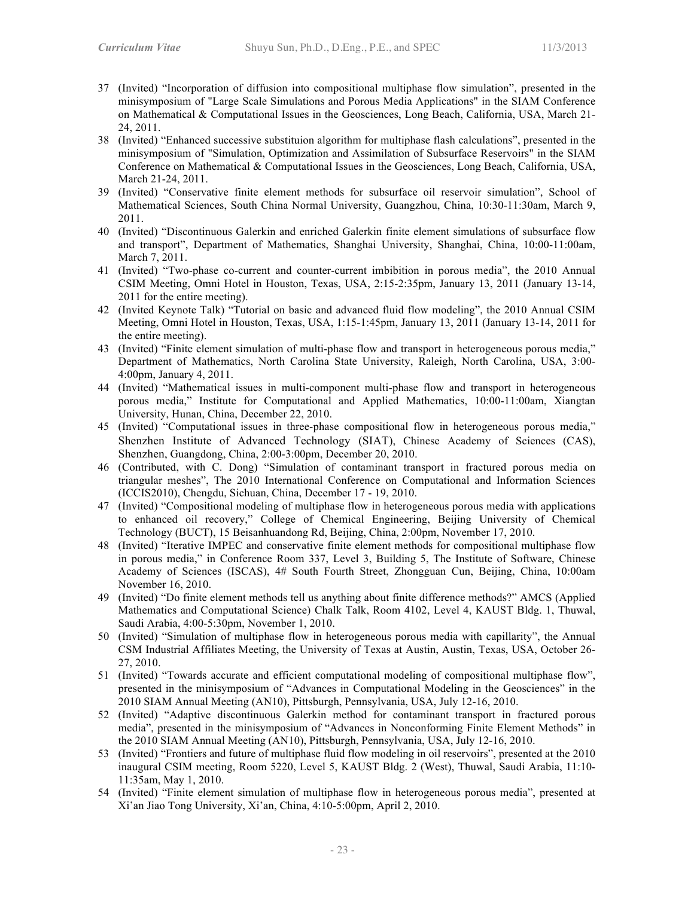- 37 (Invited) "Incorporation of diffusion into compositional multiphase flow simulation", presented in the minisymposium of "Large Scale Simulations and Porous Media Applications" in the SIAM Conference on Mathematical & Computational Issues in the Geosciences, Long Beach, California, USA, March 21- 24, 2011.
- 38 (Invited) "Enhanced successive substituion algorithm for multiphase flash calculations", presented in the minisymposium of "Simulation, Optimization and Assimilation of Subsurface Reservoirs" in the SIAM Conference on Mathematical & Computational Issues in the Geosciences, Long Beach, California, USA, March 21-24, 2011.
- 39 (Invited) "Conservative finite element methods for subsurface oil reservoir simulation", School of Mathematical Sciences, South China Normal University, Guangzhou, China, 10:30-11:30am, March 9, 2011.
- 40 (Invited) "Discontinuous Galerkin and enriched Galerkin finite element simulations of subsurface flow and transport", Department of Mathematics, Shanghai University, Shanghai, China, 10:00-11:00am, March 7, 2011.
- 41 (Invited) "Two-phase co-current and counter-current imbibition in porous media", the 2010 Annual CSIM Meeting, Omni Hotel in Houston, Texas, USA, 2:15-2:35pm, January 13, 2011 (January 13-14, 2011 for the entire meeting).
- 42 (Invited Keynote Talk) "Tutorial on basic and advanced fluid flow modeling", the 2010 Annual CSIM Meeting, Omni Hotel in Houston, Texas, USA, 1:15-1:45pm, January 13, 2011 (January 13-14, 2011 for the entire meeting).
- 43 (Invited) "Finite element simulation of multi-phase flow and transport in heterogeneous porous media," Department of Mathematics, North Carolina State University, Raleigh, North Carolina, USA, 3:00- 4:00pm, January 4, 2011.
- 44 (Invited) "Mathematical issues in multi-component multi-phase flow and transport in heterogeneous porous media," Institute for Computational and Applied Mathematics, 10:00-11:00am, Xiangtan University, Hunan, China, December 22, 2010.
- 45 (Invited) "Computational issues in three-phase compositional flow in heterogeneous porous media," Shenzhen Institute of Advanced Technology (SIAT), Chinese Academy of Sciences (CAS), Shenzhen, Guangdong, China, 2:00-3:00pm, December 20, 2010.
- 46 (Contributed, with C. Dong) "Simulation of contaminant transport in fractured porous media on triangular meshes", The 2010 International Conference on Computational and Information Sciences (ICCIS2010), Chengdu, Sichuan, China, December 17 - 19, 2010.
- 47 (Invited) "Compositional modeling of multiphase flow in heterogeneous porous media with applications to enhanced oil recovery," College of Chemical Engineering, Beijing University of Chemical Technology (BUCT), 15 Beisanhuandong Rd, Beijing, China, 2:00pm, November 17, 2010.
- 48 (Invited) "Iterative IMPEC and conservative finite element methods for compositional multiphase flow in porous media," in Conference Room 337, Level 3, Building 5, The Institute of Software, Chinese Academy of Sciences (ISCAS), 4# South Fourth Street, Zhongguan Cun, Beijing, China, 10:00am November 16, 2010.
- 49 (Invited) "Do finite element methods tell us anything about finite difference methods?" AMCS (Applied Mathematics and Computational Science) Chalk Talk, Room 4102, Level 4, KAUST Bldg. 1, Thuwal, Saudi Arabia, 4:00-5:30pm, November 1, 2010.
- 50 (Invited) "Simulation of multiphase flow in heterogeneous porous media with capillarity", the Annual CSM Industrial Affiliates Meeting, the University of Texas at Austin, Austin, Texas, USA, October 26- 27, 2010.
- 51 (Invited) "Towards accurate and efficient computational modeling of compositional multiphase flow", presented in the minisymposium of "Advances in Computational Modeling in the Geosciences" in the 2010 SIAM Annual Meeting (AN10), Pittsburgh, Pennsylvania, USA, July 12-16, 2010.
- 52 (Invited) "Adaptive discontinuous Galerkin method for contaminant transport in fractured porous media", presented in the minisymposium of "Advances in Nonconforming Finite Element Methods" in the 2010 SIAM Annual Meeting (AN10), Pittsburgh, Pennsylvania, USA, July 12-16, 2010.
- 53 (Invited) "Frontiers and future of multiphase fluid flow modeling in oil reservoirs", presented at the 2010 inaugural CSIM meeting, Room 5220, Level 5, KAUST Bldg. 2 (West), Thuwal, Saudi Arabia, 11:10- 11:35am, May 1, 2010.
- 54 (Invited) "Finite element simulation of multiphase flow in heterogeneous porous media", presented at Xi'an Jiao Tong University, Xi'an, China, 4:10-5:00pm, April 2, 2010.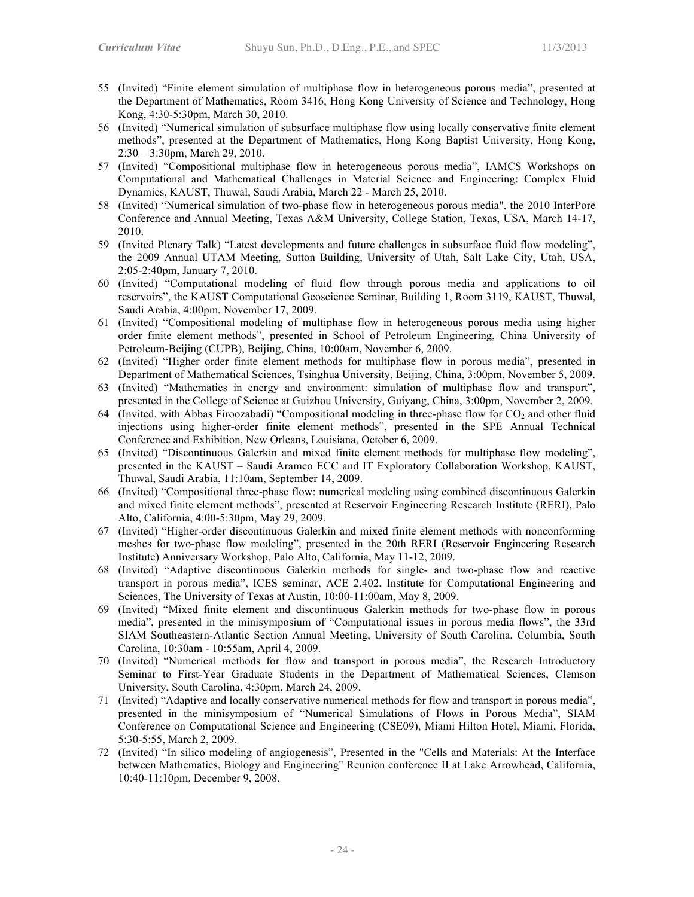- 55 (Invited) "Finite element simulation of multiphase flow in heterogeneous porous media", presented at the Department of Mathematics, Room 3416, Hong Kong University of Science and Technology, Hong Kong, 4:30-5:30pm, March 30, 2010.
- 56 (Invited) "Numerical simulation of subsurface multiphase flow using locally conservative finite element methods", presented at the Department of Mathematics, Hong Kong Baptist University, Hong Kong, 2:30 – 3:30pm, March 29, 2010.
- 57 (Invited) "Compositional multiphase flow in heterogeneous porous media", IAMCS Workshops on Computational and Mathematical Challenges in Material Science and Engineering: Complex Fluid Dynamics, KAUST, Thuwal, Saudi Arabia, March 22 - March 25, 2010.
- 58 (Invited) "Numerical simulation of two-phase flow in heterogeneous porous media", the 2010 InterPore Conference and Annual Meeting, Texas A&M University, College Station, Texas, USA, March 14-17, 2010.
- 59 (Invited Plenary Talk) "Latest developments and future challenges in subsurface fluid flow modeling", the 2009 Annual UTAM Meeting, Sutton Building, University of Utah, Salt Lake City, Utah, USA, 2:05-2:40pm, January 7, 2010.
- 60 (Invited) "Computational modeling of fluid flow through porous media and applications to oil reservoirs", the KAUST Computational Geoscience Seminar, Building 1, Room 3119, KAUST, Thuwal, Saudi Arabia, 4:00pm, November 17, 2009.
- 61 (Invited) "Compositional modeling of multiphase flow in heterogeneous porous media using higher order finite element methods", presented in School of Petroleum Engineering, China University of Petroleum-Beijing (CUPB), Beijing, China, 10:00am, November 6, 2009.
- 62 (Invited) "Higher order finite element methods for multiphase flow in porous media", presented in Department of Mathematical Sciences, Tsinghua University, Beijing, China, 3:00pm, November 5, 2009.
- 63 (Invited) "Mathematics in energy and environment: simulation of multiphase flow and transport", presented in the College of Science at Guizhou University, Guiyang, China, 3:00pm, November 2, 2009.
- 64 (Invited, with Abbas Firoozabadi) "Compositional modeling in three-phase flow for  $CO<sub>2</sub>$  and other fluid injections using higher-order finite element methods", presented in the SPE Annual Technical Conference and Exhibition, New Orleans, Louisiana, October 6, 2009.
- 65 (Invited) "Discontinuous Galerkin and mixed finite element methods for multiphase flow modeling", presented in the KAUST – Saudi Aramco ECC and IT Exploratory Collaboration Workshop, KAUST, Thuwal, Saudi Arabia, 11:10am, September 14, 2009.
- 66 (Invited) "Compositional three-phase flow: numerical modeling using combined discontinuous Galerkin and mixed finite element methods", presented at Reservoir Engineering Research Institute (RERI), Palo Alto, California, 4:00-5:30pm, May 29, 2009.
- 67 (Invited) "Higher-order discontinuous Galerkin and mixed finite element methods with nonconforming meshes for two-phase flow modeling", presented in the 20th RERI (Reservoir Engineering Research Institute) Anniversary Workshop, Palo Alto, California, May 11-12, 2009.
- 68 (Invited) "Adaptive discontinuous Galerkin methods for single- and two-phase flow and reactive transport in porous media", ICES seminar, ACE 2.402, Institute for Computational Engineering and Sciences, The University of Texas at Austin, 10:00-11:00am, May 8, 2009.
- 69 (Invited) "Mixed finite element and discontinuous Galerkin methods for two-phase flow in porous media", presented in the minisymposium of "Computational issues in porous media flows", the 33rd SIAM Southeastern-Atlantic Section Annual Meeting, University of South Carolina, Columbia, South Carolina, 10:30am - 10:55am, April 4, 2009.
- 70 (Invited) "Numerical methods for flow and transport in porous media", the Research Introductory Seminar to First-Year Graduate Students in the Department of Mathematical Sciences, Clemson University, South Carolina, 4:30pm, March 24, 2009.
- 71 (Invited) "Adaptive and locally conservative numerical methods for flow and transport in porous media", presented in the minisymposium of "Numerical Simulations of Flows in Porous Media", SIAM Conference on Computational Science and Engineering (CSE09), Miami Hilton Hotel, Miami, Florida, 5:30-5:55, March 2, 2009.
- 72 (Invited) "In silico modeling of angiogenesis", Presented in the "Cells and Materials: At the Interface between Mathematics, Biology and Engineering" Reunion conference II at Lake Arrowhead, California, 10:40-11:10pm, December 9, 2008.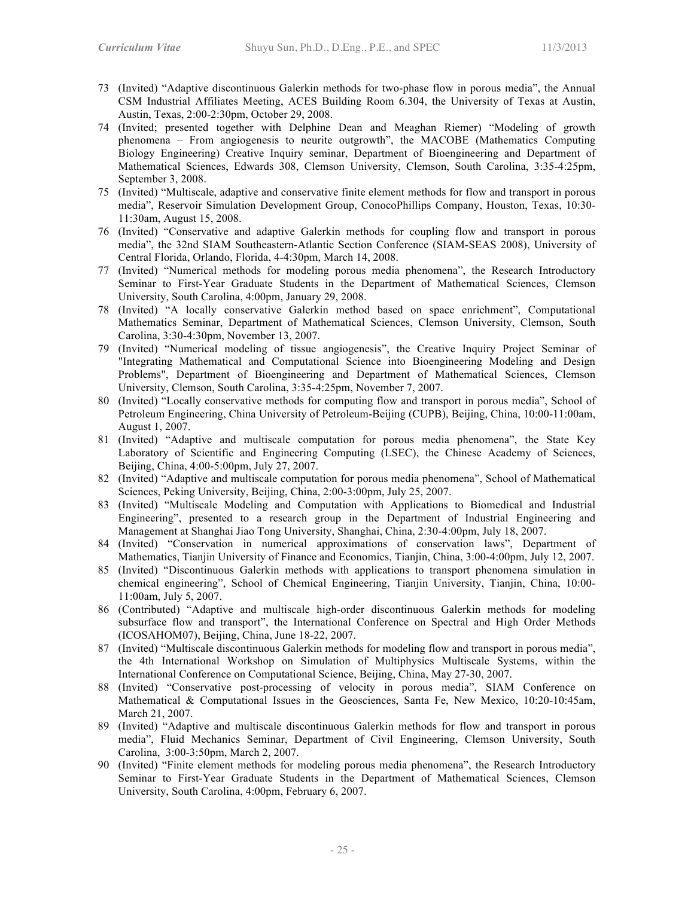- 73 (Invited) "Adaptive discontinuous Galerkin methods for two-phase flow in porous media", the Annual CSM Industrial Affiliates Meeting, ACES Building Room 6.304, the University of Texas at Austin, Austin, Texas, 2:00-2:30pm, October 29, 2008.
- 74 (Invited; presented together with Delphine Dean and Meaghan Riemer) "Modeling of growth phenomena – From angiogenesis to neurite outgrowth", the MACOBE (Mathematics Computing Biology Engineering) Creative Inquiry seminar, Department of Bioengineering and Department of Mathematical Sciences, Edwards 308, Clemson University, Clemson, South Carolina, 3:35-4:25pm, September 3, 2008.
- 75 (Invited) "Multiscale, adaptive and conservative finite element methods for flow and transport in porous media", Reservoir Simulation Development Group, ConocoPhillips Company, Houston, Texas, 10:30- 11:30am, August 15, 2008.
- 76 (Invited) "Conservative and adaptive Galerkin methods for coupling flow and transport in porous media", the 32nd SIAM Southeastern-Atlantic Section Conference (SIAM-SEAS 2008), University of Central Florida, Orlando, Florida, 4-4:30pm, March 14, 2008.
- 77 (Invited) "Numerical methods for modeling porous media phenomena", the Research Introductory Seminar to First-Year Graduate Students in the Department of Mathematical Sciences, Clemson University, South Carolina, 4:00pm, January 29, 2008.
- 78 (Invited) "A locally conservative Galerkin method based on space enrichment", Computational Mathematics Seminar, Department of Mathematical Sciences, Clemson University, Clemson, South Carolina, 3:30-4:30pm, November 13, 2007.
- 79 (Invited) "Numerical modeling of tissue angiogenesis", the Creative Inquiry Project Seminar of "Integrating Mathematical and Computational Science into Bioengineering Modeling and Design Problems", Department of Bioengineering and Department of Mathematical Sciences, Clemson University, Clemson, South Carolina, 3:35-4:25pm, November 7, 2007.
- 80 (Invited) "Locally conservative methods for computing flow and transport in porous media", School of Petroleum Engineering, China University of Petroleum-Beijing (CUPB), Beijing, China, 10:00-11:00am, August 1, 2007.
- 81 (Invited) "Adaptive and multiscale computation for porous media phenomena", the State Key Laboratory of Scientific and Engineering Computing (LSEC), the Chinese Academy of Sciences, Beijing, China, 4:00-5:00pm, July 27, 2007.
- 82 (Invited) "Adaptive and multiscale computation for porous media phenomena", School of Mathematical Sciences, Peking University, Beijing, China, 2:00-3:00pm, July 25, 2007.
- 83 (Invited) "Multiscale Modeling and Computation with Applications to Biomedical and Industrial Engineering", presented to a research group in the Department of Industrial Engineering and Management at Shanghai Jiao Tong University, Shanghai, China, 2:30-4:00pm, July 18, 2007.
- 84 (Invited) "Conservation in numerical approximations of conservation laws", Department of Mathematics, Tianjin University of Finance and Economics, Tianjin, China, 3:00-4:00pm, July 12, 2007.
- 85 (Invited) "Discontinuous Galerkin methods with applications to transport phenomena simulation in chemical engineering", School of Chemical Engineering, Tianjin University, Tianjin, China, 10:00- 11:00am, July 5, 2007.
- 86 (Contributed) "Adaptive and multiscale high-order discontinuous Galerkin methods for modeling subsurface flow and transport", the International Conference on Spectral and High Order Methods (ICOSAHOM07), Beijing, China, June 18-22, 2007.
- 87 (Invited) "Multiscale discontinuous Galerkin methods for modeling flow and transport in porous media", the 4th International Workshop on Simulation of Multiphysics Multiscale Systems, within the International Conference on Computational Science, Beijing, China, May 27-30, 2007.
- 88 (Invited) "Conservative post-processing of velocity in porous media", SIAM Conference on Mathematical & Computational Issues in the Geosciences, Santa Fe, New Mexico, 10:20-10:45am, March 21, 2007.
- 89 (Invited) "Adaptive and multiscale discontinuous Galerkin methods for flow and transport in porous media", Fluid Mechanics Seminar, Department of Civil Engineering, Clemson University, South Carolina, 3:00-3:50pm, March 2, 2007.
- 90 (Invited) "Finite element methods for modeling porous media phenomena", the Research Introductory Seminar to First-Year Graduate Students in the Department of Mathematical Sciences, Clemson University, South Carolina, 4:00pm, February 6, 2007.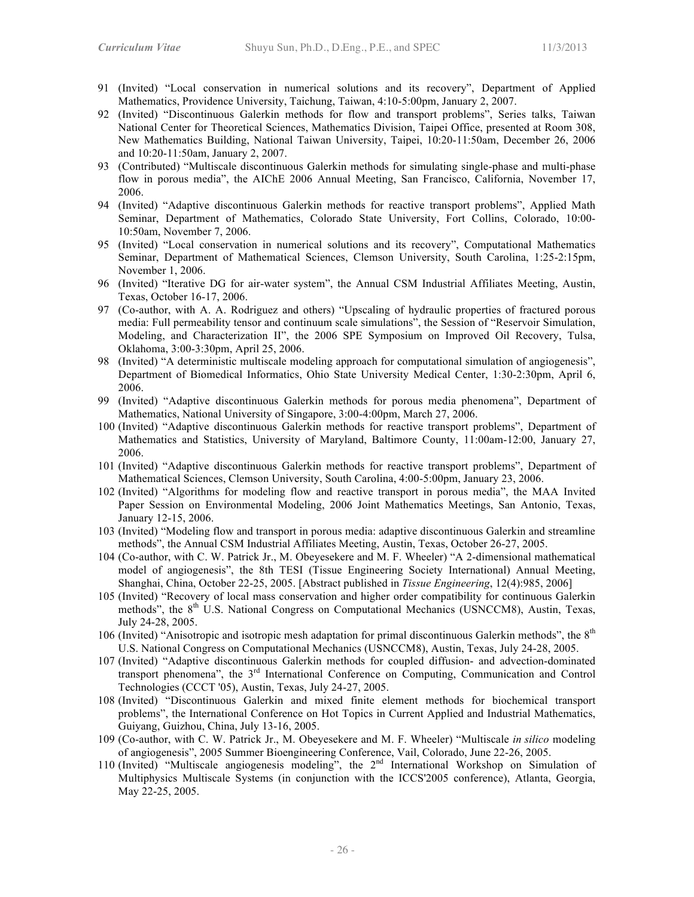- 91 (Invited) "Local conservation in numerical solutions and its recovery", Department of Applied Mathematics, Providence University, Taichung, Taiwan, 4:10-5:00pm, January 2, 2007.
- 92 (Invited) "Discontinuous Galerkin methods for flow and transport problems", Series talks, Taiwan National Center for Theoretical Sciences, Mathematics Division, Taipei Office, presented at Room 308, New Mathematics Building, National Taiwan University, Taipei, 10:20-11:50am, December 26, 2006 and 10:20-11:50am, January 2, 2007.
- 93 (Contributed) "Multiscale discontinuous Galerkin methods for simulating single-phase and multi-phase flow in porous media", the AIChE 2006 Annual Meeting, San Francisco, California, November 17, 2006.
- 94 (Invited) "Adaptive discontinuous Galerkin methods for reactive transport problems", Applied Math Seminar, Department of Mathematics, Colorado State University, Fort Collins, Colorado, 10:00- 10:50am, November 7, 2006.
- 95 (Invited) "Local conservation in numerical solutions and its recovery", Computational Mathematics Seminar, Department of Mathematical Sciences, Clemson University, South Carolina, 1:25-2:15pm, November 1, 2006.
- 96 (Invited) "Iterative DG for air-water system", the Annual CSM Industrial Affiliates Meeting, Austin, Texas, October 16-17, 2006.
- 97 (Co-author, with A. A. Rodriguez and others) "Upscaling of hydraulic properties of fractured porous media: Full permeability tensor and continuum scale simulations", the Session of "Reservoir Simulation, Modeling, and Characterization II", the 2006 SPE Symposium on Improved Oil Recovery, Tulsa, Oklahoma, 3:00-3:30pm, April 25, 2006.
- 98 (Invited) "A deterministic multiscale modeling approach for computational simulation of angiogenesis", Department of Biomedical Informatics, Ohio State University Medical Center, 1:30-2:30pm, April 6, 2006.
- 99 (Invited) "Adaptive discontinuous Galerkin methods for porous media phenomena", Department of Mathematics, National University of Singapore, 3:00-4:00pm, March 27, 2006.
- 100 (Invited) "Adaptive discontinuous Galerkin methods for reactive transport problems", Department of Mathematics and Statistics, University of Maryland, Baltimore County, 11:00am-12:00, January 27, 2006.
- 101 (Invited) "Adaptive discontinuous Galerkin methods for reactive transport problems", Department of Mathematical Sciences, Clemson University, South Carolina, 4:00-5:00pm, January 23, 2006.
- 102 (Invited) "Algorithms for modeling flow and reactive transport in porous media", the MAA Invited Paper Session on Environmental Modeling, 2006 Joint Mathematics Meetings, San Antonio, Texas, January 12-15, 2006.
- 103 (Invited) "Modeling flow and transport in porous media: adaptive discontinuous Galerkin and streamline methods", the Annual CSM Industrial Affiliates Meeting, Austin, Texas, October 26-27, 2005.
- 104 (Co-author, with C. W. Patrick Jr., M. Obeyesekere and M. F. Wheeler) "A 2-dimensional mathematical model of angiogenesis", the 8th TESI (Tissue Engineering Society International) Annual Meeting, Shanghai, China, October 22-25, 2005. [Abstract published in *Tissue Engineering*, 12(4):985, 2006]
- 105 (Invited) "Recovery of local mass conservation and higher order compatibility for continuous Galerkin methods", the  $8<sup>th</sup>$  U.S. National Congress on Computational Mechanics (USNCCM8), Austin, Texas, July 24-28, 2005.
- 106 (Invited) "Anisotropic and isotropic mesh adaptation for primal discontinuous Galerkin methods", the  $8<sup>th</sup>$ U.S. National Congress on Computational Mechanics (USNCCM8), Austin, Texas, July 24-28, 2005.
- 107 (Invited) "Adaptive discontinuous Galerkin methods for coupled diffusion- and advection-dominated transport phenomena", the  $3<sup>rd</sup>$  International Conference on Computing, Communication and Control Technologies (CCCT '05), Austin, Texas, July 24-27, 2005.
- 108 (Invited) "Discontinuous Galerkin and mixed finite element methods for biochemical transport problems", the International Conference on Hot Topics in Current Applied and Industrial Mathematics, Guiyang, Guizhou, China, July 13-16, 2005.
- 109 (Co-author, with C. W. Patrick Jr., M. Obeyesekere and M. F. Wheeler) "Multiscale *in silico* modeling of angiogenesis", 2005 Summer Bioengineering Conference, Vail, Colorado, June 22-26, 2005.
- 110 (Invited) "Multiscale angiogenesis modeling", the 2<sup>nd</sup> International Workshop on Simulation of Multiphysics Multiscale Systems (in conjunction with the ICCS'2005 conference), Atlanta, Georgia, May 22-25, 2005.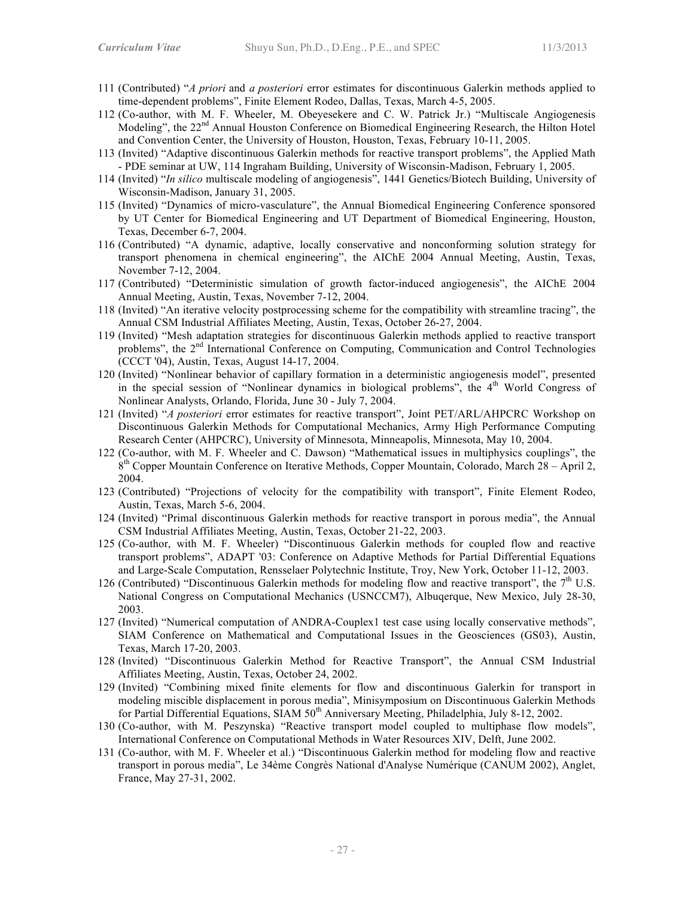- 111 (Contributed) "*A priori* and *a posteriori* error estimates for discontinuous Galerkin methods applied to time-dependent problems", Finite Element Rodeo, Dallas, Texas, March 4-5, 2005.
- 112 (Co-author, with M. F. Wheeler, M. Obeyesekere and C. W. Patrick Jr.) "Multiscale Angiogenesis Modeling", the 22<sup>nd</sup> Annual Houston Conference on Biomedical Engineering Research, the Hilton Hotel and Convention Center, the University of Houston, Houston, Texas, February 10-11, 2005.
- 113 (Invited) "Adaptive discontinuous Galerkin methods for reactive transport problems", the Applied Math - PDE seminar at UW, 114 Ingraham Building, University of Wisconsin-Madison, February 1, 2005.
- 114 (Invited) "*In silico* multiscale modeling of angiogenesis", 1441 Genetics/Biotech Building, University of Wisconsin-Madison, January 31, 2005.
- 115 (Invited) "Dynamics of micro-vasculature", the Annual Biomedical Engineering Conference sponsored by UT Center for Biomedical Engineering and UT Department of Biomedical Engineering, Houston, Texas, December 6-7, 2004.
- 116 (Contributed) "A dynamic, adaptive, locally conservative and nonconforming solution strategy for transport phenomena in chemical engineering", the AIChE 2004 Annual Meeting, Austin, Texas, November 7-12, 2004.
- 117 (Contributed) "Deterministic simulation of growth factor-induced angiogenesis", the AIChE 2004 Annual Meeting, Austin, Texas, November 7-12, 2004.
- 118 (Invited) "An iterative velocity postprocessing scheme for the compatibility with streamline tracing", the Annual CSM Industrial Affiliates Meeting, Austin, Texas, October 26-27, 2004.
- 119 (Invited) "Mesh adaptation strategies for discontinuous Galerkin methods applied to reactive transport problems", the 2<sup>nd</sup> International Conference on Computing, Communication and Control Technologies (CCCT '04), Austin, Texas, August 14-17, 2004.
- 120 (Invited) "Nonlinear behavior of capillary formation in a deterministic angiogenesis model", presented in the special session of "Nonlinear dynamics in biological problems", the 4<sup>th</sup> World Congress of Nonlinear Analysts, Orlando, Florida, June 30 - July 7, 2004.
- 121 (Invited) "*A posteriori* error estimates for reactive transport", Joint PET/ARL/AHPCRC Workshop on Discontinuous Galerkin Methods for Computational Mechanics, Army High Performance Computing Research Center (AHPCRC), University of Minnesota, Minneapolis, Minnesota, May 10, 2004.
- 122 (Co-author, with M. F. Wheeler and C. Dawson) "Mathematical issues in multiphysics couplings", the  $8<sup>th</sup>$  Copper Mountain Conference on Iterative Methods, Copper Mountain, Colorado, March 28 – April 2, 2004.
- 123 (Contributed) "Projections of velocity for the compatibility with transport", Finite Element Rodeo, Austin, Texas, March 5-6, 2004.
- 124 (Invited) "Primal discontinuous Galerkin methods for reactive transport in porous media", the Annual CSM Industrial Affiliates Meeting, Austin, Texas, October 21-22, 2003.
- 125 (Co-author, with M. F. Wheeler) "Discontinuous Galerkin methods for coupled flow and reactive transport problems", ADAPT '03: Conference on Adaptive Methods for Partial Differential Equations and Large-Scale Computation, Rensselaer Polytechnic Institute, Troy, New York, October 11-12, 2003.
- 126 (Contributed) "Discontinuous Galerkin methods for modeling flow and reactive transport", the  $7<sup>th</sup>$  U.S. National Congress on Computational Mechanics (USNCCM7), Albuqerque, New Mexico, July 28-30, 2003.
- 127 (Invited) "Numerical computation of ANDRA-Couplex1 test case using locally conservative methods", SIAM Conference on Mathematical and Computational Issues in the Geosciences (GS03), Austin, Texas, March 17-20, 2003.
- 128 (Invited) "Discontinuous Galerkin Method for Reactive Transport", the Annual CSM Industrial Affiliates Meeting, Austin, Texas, October 24, 2002.
- 129 (Invited) "Combining mixed finite elements for flow and discontinuous Galerkin for transport in modeling miscible displacement in porous media", Minisymposium on Discontinuous Galerkin Methods for Partial Differential Equations, SIAM  $50<sup>th</sup>$  Anniversary Meeting, Philadelphia, July 8-12, 2002.
- 130 (Co-author, with M. Peszynska) "Reactive transport model coupled to multiphase flow models", International Conference on Computational Methods in Water Resources XIV, Delft, June 2002.
- 131 (Co-author, with M. F. Wheeler et al.) "Discontinuous Galerkin method for modeling flow and reactive transport in porous media", Le 34ème Congrès National d'Analyse Numérique (CANUM 2002), Anglet, France, May 27-31, 2002.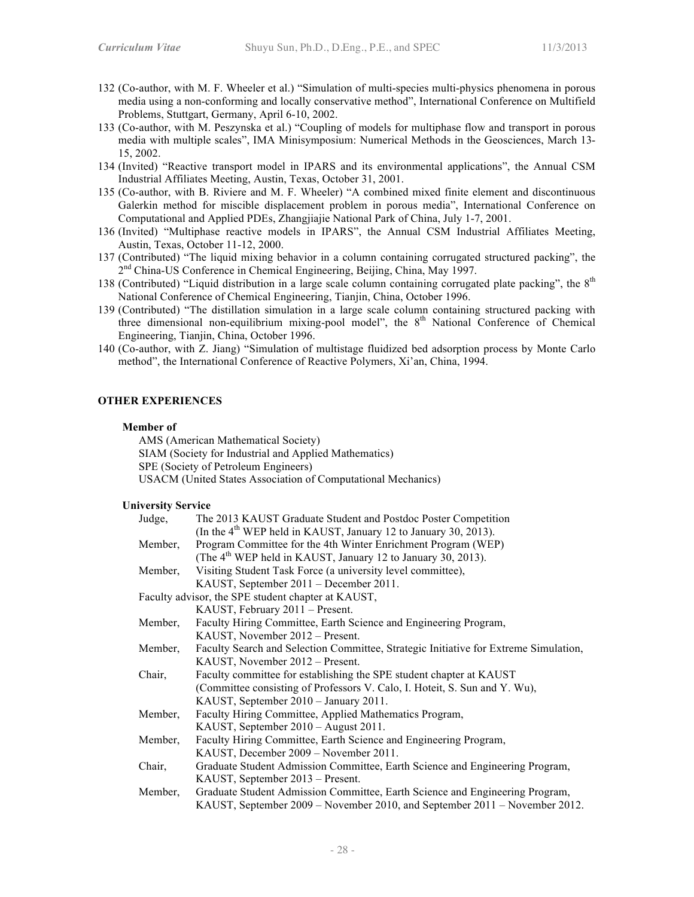- 132 (Co-author, with M. F. Wheeler et al.) "Simulation of multi-species multi-physics phenomena in porous media using a non-conforming and locally conservative method", International Conference on Multifield Problems, Stuttgart, Germany, April 6-10, 2002.
- 133 (Co-author, with M. Peszynska et al.) "Coupling of models for multiphase flow and transport in porous media with multiple scales", IMA Minisymposium: Numerical Methods in the Geosciences, March 13- 15, 2002.
- 134 (Invited) "Reactive transport model in IPARS and its environmental applications", the Annual CSM Industrial Affiliates Meeting, Austin, Texas, October 31, 2001.
- 135 (Co-author, with B. Riviere and M. F. Wheeler) "A combined mixed finite element and discontinuous Galerkin method for miscible displacement problem in porous media", International Conference on Computational and Applied PDEs, Zhangjiajie National Park of China, July 1-7, 2001.
- 136 (Invited) "Multiphase reactive models in IPARS", the Annual CSM Industrial Affiliates Meeting, Austin, Texas, October 11-12, 2000.
- 137 (Contributed) "The liquid mixing behavior in a column containing corrugated structured packing", the 2<sup>nd</sup> China-US Conference in Chemical Engineering, Beijing, China, May 1997.
- 138 (Contributed) "Liquid distribution in a large scale column containing corrugated plate packing", the  $8<sup>th</sup>$ National Conference of Chemical Engineering, Tianjin, China, October 1996.
- 139 (Contributed) "The distillation simulation in a large scale column containing structured packing with three dimensional non-equilibrium mixing-pool model", the  $8<sup>th</sup>$  National Conference of Chemical Engineering, Tianjin, China, October 1996.
- 140 (Co-author, with Z. Jiang) "Simulation of multistage fluidized bed adsorption process by Monte Carlo method", the International Conference of Reactive Polymers, Xi'an, China, 1994.

## **OTHER EXPERIENCES**

#### **Member of**

AMS (American Mathematical Society) SIAM (Society for Industrial and Applied Mathematics) SPE (Society of Petroleum Engineers) USACM (United States Association of Computational Mechanics)

#### **University Service**

| Judge,  | The 2013 KAUST Graduate Student and Postdoc Poster Competition                       |
|---------|--------------------------------------------------------------------------------------|
|         | (In the 4 <sup>th</sup> WEP held in KAUST, January 12 to January 30, 2013).          |
| Member, | Program Committee for the 4th Winter Enrichment Program (WEP)                        |
|         | (The 4 <sup>th</sup> WEP held in KAUST, January 12 to January 30, 2013).             |
| Member, | Visiting Student Task Force (a university level committee),                          |
|         | KAUST, September 2011 – December 2011.                                               |
|         | Faculty advisor, the SPE student chapter at KAUST,                                   |
|         | KAUST, February 2011 - Present.                                                      |
| Member, | Faculty Hiring Committee, Earth Science and Engineering Program,                     |
|         | KAUST, November 2012 – Present.                                                      |
| Member, | Faculty Search and Selection Committee, Strategic Initiative for Extreme Simulation, |
|         | KAUST, November 2012 – Present.                                                      |
| Chair,  | Faculty committee for establishing the SPE student chapter at KAUST                  |
|         | (Committee consisting of Professors V. Calo, I. Hoteit, S. Sun and Y. Wu),           |
|         | KAUST, September 2010 - January 2011.                                                |
| Member, | Faculty Hiring Committee, Applied Mathematics Program,                               |
|         | KAUST, September 2010 – August 2011.                                                 |
| Member, | Faculty Hiring Committee, Earth Science and Engineering Program,                     |
|         | KAUST, December 2009 - November 2011.                                                |
| Chair,  | Graduate Student Admission Committee, Earth Science and Engineering Program,         |
|         | KAUST, September 2013 – Present.                                                     |
| Member, | Graduate Student Admission Committee, Earth Science and Engineering Program,         |
|         | KAUST, September 2009 – November 2010, and September 2011 – November 2012.           |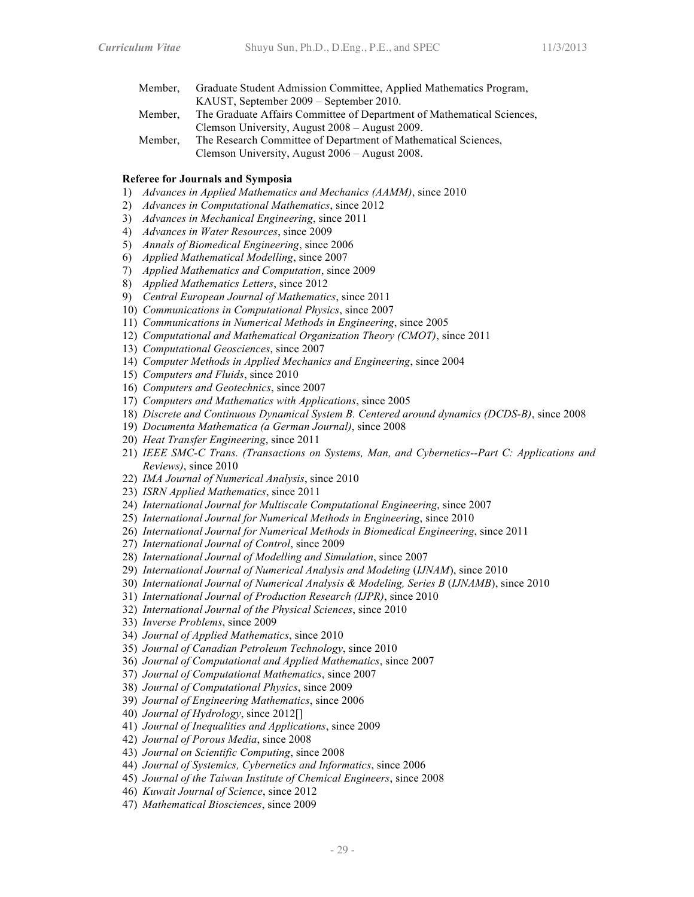- Member, Graduate Student Admission Committee, Applied Mathematics Program, KAUST, September 2009 – September 2010. Member, The Graduate Affairs Committee of Department of Mathematical Sciences,
- Clemson University, August 2008 August 2009.
- Member, The Research Committee of Department of Mathematical Sciences, Clemson University, August 2006 – August 2008.

## **Referee for Journals and Symposia**

- 1) *Advances in Applied Mathematics and Mechanics (AAMM)*, since 2010
- 2) *Advances in Computational Mathematics*, since 2012
- 3) *Advances in Mechanical Engineering*, since 2011
- 4) *Advances in Water Resources*, since 2009
- 5) *Annals of Biomedical Engineering*, since 2006
- 6) *Applied Mathematical Modelling*, since 2007
- 7) *Applied Mathematics and Computation*, since 2009
- 8) *Applied Mathematics Letters*, since 2012
- 9) *Central European Journal of Mathematics*, since 2011
- 10) *Communications in Computational Physics*, since 2007
- 11) *Communications in Numerical Methods in Engineering*, since 2005
- 12) *Computational and Mathematical Organization Theory (CMOT)*, since 2011
- 13) *Computational Geosciences*, since 2007
- 14) *Computer Methods in Applied Mechanics and Engineering*, since 2004
- 15) *Computers and Fluids*, since 2010
- 16) *Computers and Geotechnics*, since 2007
- 17) *Computers and Mathematics with Applications*, since 2005
- 18) *Discrete and Continuous Dynamical System B. Centered around dynamics (DCDS-B)*, since 2008
- 19) *Documenta Mathematica (a German Journal)*, since 2008
- 20) *Heat Transfer Engineering*, since 2011
- 21) *IEEE SMC-C Trans. (Transactions on Systems, Man, and Cybernetics--Part C: Applications and Reviews)*, since 2010
- 22) *IMA Journal of Numerical Analysis*, since 2010
- 23) *ISRN Applied Mathematics*, since 2011
- 24) *International Journal for Multiscale Computational Engineering*, since 2007
- 25) *International Journal for Numerical Methods in Engineering*, since 2010
- 26) *International Journal for Numerical Methods in Biomedical Engineering*, since 2011
- 27) *International Journal of Control*, since 2009
- 28) *International Journal of Modelling and Simulation*, since 2007
- 29) *International Journal of Numerical Analysis and Modeling* (*IJNAM*), since 2010
- 30) *International Journal of Numerical Analysis & Modeling, Series B* (*IJNAMB*), since 2010
- 31) *International Journal of Production Research (IJPR)*, since 2010
- 32) *International Journal of the Physical Sciences*, since 2010
- 33) *Inverse Problems*, since 2009
- 34) *Journal of Applied Mathematics*, since 2010
- 35) *Journal of Canadian Petroleum Technology*, since 2010
- 36) *Journal of Computational and Applied Mathematics*, since 2007
- 37) *Journal of Computational Mathematics*, since 2007
- 38) *Journal of Computational Physics*, since 2009
- 39) *Journal of Engineering Mathematics*, since 2006
- 40) *Journal of Hydrology*, since 2012[]
- 41) *Journal of Inequalities and Applications*, since 2009
- 42) *Journal of Porous Media*, since 2008
- 43) *Journal on Scientific Computing*, since 2008
- 44) *Journal of Systemics, Cybernetics and Informatics*, since 2006
- 45) *Journal of the Taiwan Institute of Chemical Engineers*, since 2008
- 46) *Kuwait Journal of Science*, since 2012
- 47) *Mathematical Biosciences*, since 2009